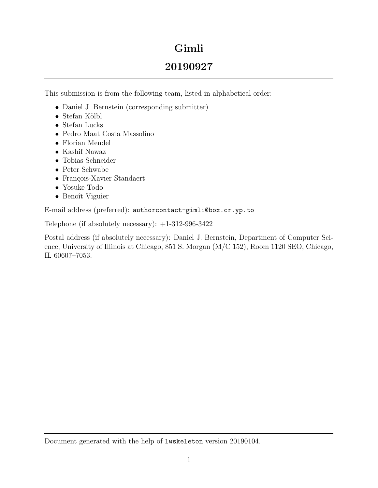# Gimli

# 20190927

This submission is from the following team, listed in alphabetical order:

- Daniel J. Bernstein (corresponding submitter)
- $\bullet$  Stefan Kölbl
- Stefan Lucks
- Pedro Maat Costa Massolino
- Florian Mendel
- Kashif Nawaz
- Tobias Schneider
- Peter Schwabe
- François-Xavier Standaert
- Yosuke Todo
- Benoît Viguier

E-mail address (preferred): authorcontact-gimli@box.cr.yp.to

Telephone (if absolutely necessary): +1-312-996-3422

Postal address (if absolutely necessary): Daniel J. Bernstein, Department of Computer Science, University of Illinois at Chicago, 851 S. Morgan (M/C 152), Room 1120 SEO, Chicago, IL 60607–7053.

Document generated with the help of lwskeleton version 20190104.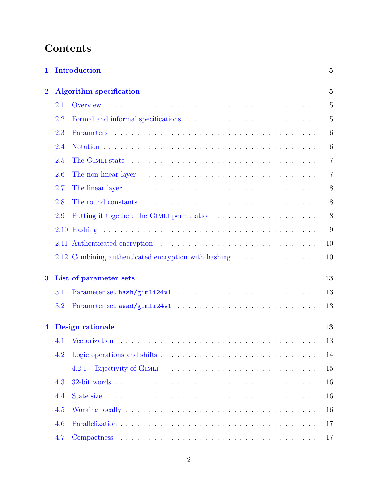# Contents

| 1              |     | <b>Introduction</b>                                                                                                                                                                                                            | $\overline{5}$ |
|----------------|-----|--------------------------------------------------------------------------------------------------------------------------------------------------------------------------------------------------------------------------------|----------------|
| $\bf{2}$       |     | <b>Algorithm specification</b>                                                                                                                                                                                                 | $\overline{5}$ |
|                | 2.1 |                                                                                                                                                                                                                                | 5              |
|                | 2.2 |                                                                                                                                                                                                                                | $\overline{5}$ |
|                | 2.3 | Parameters                                                                                                                                                                                                                     | 6              |
|                | 2.4 |                                                                                                                                                                                                                                | 6              |
|                | 2.5 |                                                                                                                                                                                                                                | $\overline{7}$ |
|                | 2.6 | The non-linear layer $\ldots \ldots \ldots \ldots \ldots \ldots \ldots \ldots \ldots \ldots \ldots$                                                                                                                            | $\overline{7}$ |
|                | 2.7 |                                                                                                                                                                                                                                | 8              |
|                | 2.8 | The round constants entering in the contract of the result of the result of the result of the result of the result of the result of the result of the result of the result of the result of the result of the result of the re | 8              |
|                | 2.9 |                                                                                                                                                                                                                                | 8              |
|                |     |                                                                                                                                                                                                                                | 9              |
|                |     |                                                                                                                                                                                                                                | 10             |
|                |     | 2.12 Combining authenticated encryption with hashing                                                                                                                                                                           | 10             |
| $\bf{3}$       |     | List of parameter sets                                                                                                                                                                                                         | 13             |
|                | 3.1 |                                                                                                                                                                                                                                | 13             |
|                | 3.2 |                                                                                                                                                                                                                                | 13             |
| $\overline{4}$ |     | <b>Design rationale</b>                                                                                                                                                                                                        | 13             |
|                |     | 4.1 Vectorization                                                                                                                                                                                                              | 13             |
|                | 4.2 |                                                                                                                                                                                                                                | 14             |
|                |     | 4.2.1                                                                                                                                                                                                                          | 15             |
|                | 4.3 |                                                                                                                                                                                                                                | 16             |
|                | 4.4 |                                                                                                                                                                                                                                | 16             |
|                | 4.5 |                                                                                                                                                                                                                                | 16             |
|                | 4.6 |                                                                                                                                                                                                                                | 17             |
|                | 4.7 |                                                                                                                                                                                                                                | 17             |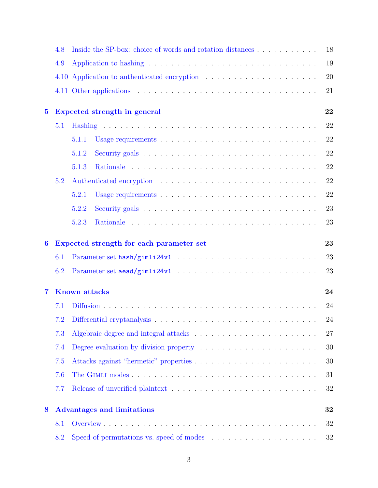|          | 4.8 | Inside the SP-box: choice of words and rotation distances                          | 18     |
|----------|-----|------------------------------------------------------------------------------------|--------|
|          | 4.9 |                                                                                    | 19     |
|          |     |                                                                                    | 20     |
|          |     |                                                                                    | 21     |
| $\bf{5}$ |     | Expected strength in general                                                       | 22     |
|          | 5.1 |                                                                                    | 22     |
|          |     | 5.1.1                                                                              | 22     |
|          |     | 5.1.2                                                                              | 22     |
|          |     | 5.1.3                                                                              | 22     |
|          | 5.2 |                                                                                    | 22     |
|          |     | 5.2.1                                                                              | 22     |
|          |     | 5.2.2                                                                              | 23     |
|          |     | 5.2.3                                                                              | 23     |
| 6        |     | Expected strength for each parameter set                                           | 23     |
|          | 6.1 |                                                                                    | 23     |
|          | 6.2 |                                                                                    | 23     |
| 7        |     | <b>Known</b> attacks                                                               | 24     |
|          | 7.1 |                                                                                    | 24     |
|          |     |                                                                                    | $24\,$ |
|          | 7.3 |                                                                                    | $27\,$ |
|          | 7.4 | Degree evaluation by division property $\dots \dots \dots \dots \dots \dots \dots$ | 30     |
|          | 7.5 |                                                                                    | $30\,$ |
|          | 7.6 |                                                                                    | 31     |
|          | 7.7 |                                                                                    | 32     |
| 8        |     | <b>Advantages and limitations</b>                                                  | 32     |
|          | 8.1 |                                                                                    | 32     |
|          | 8.2 |                                                                                    | 32     |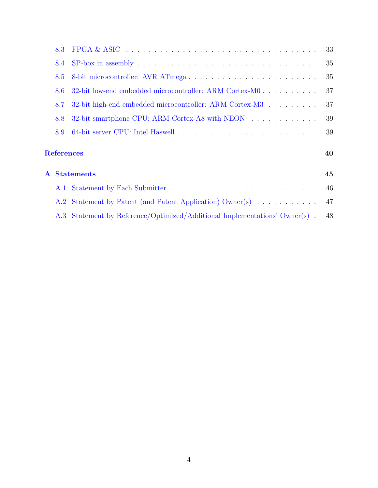| 8.3               |                                                                                                          | 33 |
|-------------------|----------------------------------------------------------------------------------------------------------|----|
| 8.4               | $SP-box in assembly \dots \dots \dots \dots \dots \dots \dots \dots \dots \dots \dots \dots \dots \dots$ | 35 |
| 8.5               |                                                                                                          | 35 |
| 8.6               |                                                                                                          | 37 |
| 8.7               | 32-bit high-end embedded microcontroller: ARM Cortex-M3                                                  | 37 |
| 8.8               | 32-bit smartphone CPU: ARM Cortex-A8 with NEON                                                           | 39 |
| 8.9               |                                                                                                          | 39 |
| <b>References</b> |                                                                                                          | 40 |
|                   | <b>A</b> Statements                                                                                      | 45 |
|                   |                                                                                                          | 46 |
|                   | A.2 Statement by Patent (and Patent Application) Owner(s)                                                | 47 |
|                   | A.3 Statement by Reference/Optimized/Additional Implementations' Owner(s).                               | 48 |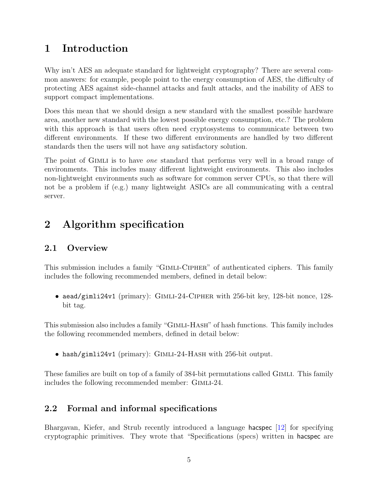# <span id="page-4-0"></span>1 Introduction

Why isn't AES an adequate standard for lightweight cryptography? There are several common answers: for example, people point to the energy consumption of AES, the difficulty of protecting AES against side-channel attacks and fault attacks, and the inability of AES to support compact implementations.

Does this mean that we should design a new standard with the smallest possible hardware area, another new standard with the lowest possible energy consumption, etc.? The problem with this approach is that users often need cryptosystems to communicate between two different environments. If these two different environments are handled by two different standards then the users will not have any satisfactory solution.

The point of GIMLI is to have *one* standard that performs very well in a broad range of environments. This includes many different lightweight environments. This also includes non-lightweight environments such as software for common server CPUs, so that there will not be a problem if (e.g.) many lightweight ASICs are all communicating with a central server.

# <span id="page-4-1"></span>2 Algorithm specification

### <span id="page-4-2"></span>2.1 Overview

This submission includes a family "GIMLI-CIPHER" of authenticated ciphers. This family includes the following recommended members, defined in detail below:

• aead/gimli24v1 (primary): GIMLI-24-CIPHER with 256-bit key, 128-bit nonce, 128bit tag.

This submission also includes a family "Gimli-Hash" of hash functions. This family includes the following recommended members, defined in detail below:

• hash/gimli24v1 (primary): GIMLI-24-HASH with 256-bit output.

These families are built on top of a family of 384-bit permutations called GIMLI. This family includes the following recommended member: GIMLI-24.

## <span id="page-4-3"></span>2.2 Formal and informal specifications

Bhargavan, Kiefer, and Strub recently introduced a language hacspec [\[12\]](#page-41-0) for specifying cryptographic primitives. They wrote that "Specifications (specs) written in hacspec are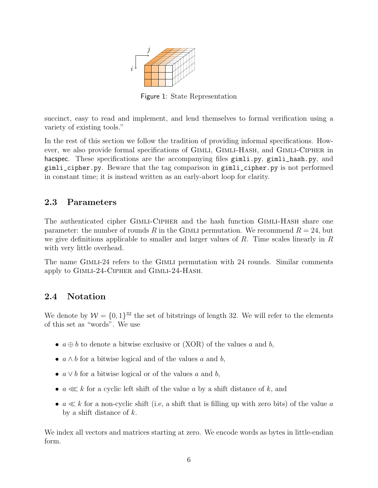<span id="page-5-2"></span>

Figure 1: State Representation

succinct, easy to read and implement, and lend themselves to formal verification using a variety of existing tools."

In the rest of this section we follow the tradition of providing informal specifications. However, we also provide formal specifications of Gimli, Gimli-Hash, and Gimli-Cipher in hacspec. These specifications are the accompanying files gimli.py, gimli\_hash.py, and gimli\_cipher.py. Beware that the tag comparison in gimli\_cipher.py is not performed in constant time; it is instead written as an early-abort loop for clarity.

### <span id="page-5-0"></span>2.3 Parameters

The authenticated cipher Gimli-Cipher and the hash function Gimli-Hash share one parameter: the number of rounds R in the GIMLI permutation. We recommend  $R = 24$ , but we give definitions applicable to smaller and larger values of  $R$ . Time scales linearly in  $R$ with very little overhead.

The name GIMLI-24 refers to the GIMLI permutation with 24 rounds. Similar comments apply to Gimli-24-Cipher and Gimli-24-Hash.

### <span id="page-5-1"></span>2.4 Notation

We denote by  $W = \{0, 1\}^{32}$  the set of bitstrings of length 32. We will refer to the elements of this set as "words". We use

- $a \oplus b$  to denote a bitwise exclusive or (XOR) of the values a and b,
- $a \wedge b$  for a bitwise logical and of the values a and b,
- $a \vee b$  for a bitwise logical or of the values a and b,
- $a \ll k$  for a cyclic left shift of the value a by a shift distance of k, and
- $a \ll k$  for a non-cyclic shift (i.e, a shift that is filling up with zero bits) of the value a by a shift distance of  $k$ .

We index all vectors and matrices starting at zero. We encode words as bytes in little-endian form.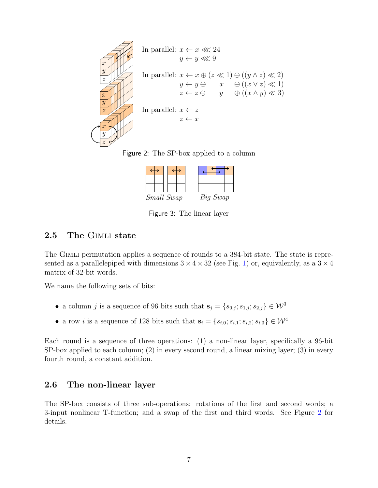



<span id="page-6-2"></span>

| Small Swap |  | Big Swap |  |
|------------|--|----------|--|

<span id="page-6-3"></span>Figure 3: The linear layer

### <span id="page-6-0"></span>2.5 The GIMLI state

The GIMLI permutation applies a sequence of rounds to a 384-bit state. The state is represented as a parallelepiped with dimensions  $3 \times 4 \times 32$  (see Fig. [1\)](#page-5-2) or, equivalently, as a  $3 \times 4$ matrix of 32-bit words.

We name the following sets of bits:

- a column j is a sequence of 96 bits such that  $s_j = \{s_{0,j}; s_{1,j}; s_{2,j}\} \in \mathcal{W}^3$
- a row *i* is a sequence of 128 bits such that  $\mathbf{s}_i = \{s_{i,0}; s_{i,1}; s_{i,2}; s_{i,3}\} \in \mathcal{W}^4$

Each round is a sequence of three operations: (1) a non-linear layer, specifically a 96-bit SP-box applied to each column; (2) in every second round, a linear mixing layer; (3) in every fourth round, a constant addition.

### <span id="page-6-1"></span>2.6 The non-linear layer

The SP-box consists of three sub-operations: rotations of the first and second words; a 3-input nonlinear T-function; and a swap of the first and third words. See Figure [2](#page-6-2) for details.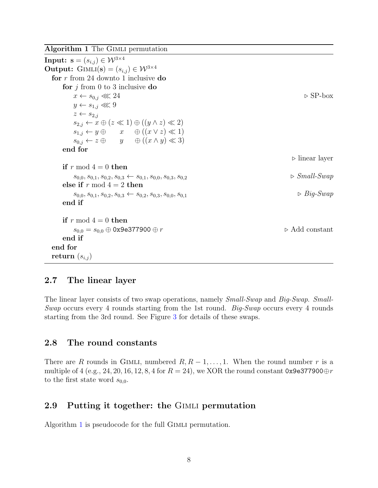<span id="page-7-3"></span>Algorithm 1 The GIMLI permutation

**Input:**  $\mathbf{s} = (s_{i,j}) \in \mathcal{W}^{3 \times 4}$ Output: GIMLI(s) =  $(s_{i,j}) \in \mathcal{W}^{3 \times 4}$ for  $r$  from 24 downto 1 inclusive do for  $j$  from 0 to 3 inclusive do  $x \leftarrow s_{0,j} \lll 24$  .  $\triangleright$  SP-box  $y \leftarrow s_{1,j} \ll 9$  $z \leftarrow s_{2,i}$  $s_{2,j} \leftarrow x \oplus (z \ll 1) \oplus ((y \wedge z) \ll 2)$  $s_{1,j} \leftarrow y \oplus x \quad \oplus ((x \vee z) \ll 1)$  $s_{0,j} \leftarrow z \oplus y \quad \oplus ((x \wedge y) \ll 3)$ end for  $\triangleright$  linear layer if r mod  $4 = 0$  then  $s_{0,0}, s_{0,1}, s_{0,2}, s_{0,3} \leftarrow s_{0,1}, s_{0,0}, s_{0,3}, s_{0,2}$   $\triangleright \; Small\text{-}Swap$ else if  $r \mod 4 = 2$  then  $s_{0,0}, s_{0,1}, s_{0,2}, s_{0,3} \leftarrow s_{0,2}, s_{0,3}, s_{0,0}, s_{0,1}$   $\triangleright$   $Big\}$ end if if  $r \mod 4 = 0$  then  $s_{0,0} = s_{0,0} \oplus 0$ x9e377900  $\oplus r$   $\triangleright$  Add constant end if end for return  $(s_{i,j})$ 

#### <span id="page-7-0"></span>2.7 The linear layer

The linear layer consists of two swap operations, namely Small-Swap and Big-Swap. Small-Swap occurs every 4 rounds starting from the 1st round. Big-Swap occurs every 4 rounds starting from the 3rd round. See Figure [3](#page-6-3) for details of these swaps.

#### <span id="page-7-1"></span>2.8 The round constants

There are R rounds in GIMLI, numbered  $R, R-1, \ldots, 1$ . When the round number r is a multiple of 4 (e.g., 24, 20, 16, 12, 8, 4 for  $R = 24$ ), we XOR the round constant 0x9e377900 $\oplus r$ to the first state word  $s_{0.0}$ .

#### <span id="page-7-2"></span>2.9 Putting it together: the Gimli permutation

Algorithm [1](#page-7-3) is pseudocode for the full GIMLI permutation.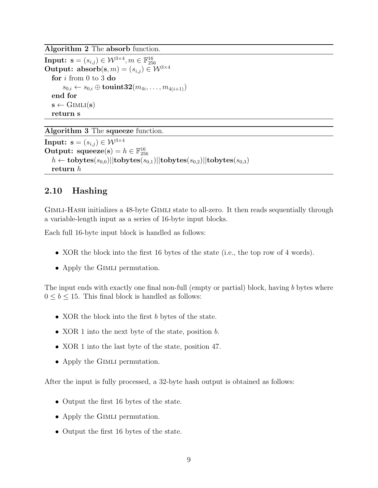Algorithm 2 The absorb function.

 $\textbf{Input: } \mathbf{s} = (s_{i,j}) \in \mathcal{W}^{3 \times 4}, m \in \mathbb{F}_{256}^{16}$ Output:  $absorb(s, m) = (s_{i,j}) \in W^{3 \times 4}$ for i from 0 to 3 do  $s_{0,i} \leftarrow s_{0,i} \oplus \textbf{tounit32}(m_{4i}, \dots, m_{4(i+1)})$ end for  $s \leftarrow \text{GIMLI}(s)$ return s

Algorithm 3 The squeeze function.

Input:  $\mathbf{s} = (s_{i,j}) \in \mathcal{W}^{3 \times 4}$ Output:  $square(s) = h \in \mathbb{F}_{256}^{16}$  $h \leftarrow \text{tobytes}(s_{0,0})||\text{tobytes}(s_{0,1})||\text{tobytes}(s_{0,2})||\text{tobytes}(s_{0,3})$ return h

### <span id="page-8-0"></span>2.10 Hashing

GIMLI-HASH initializes a 48-byte GIMLI state to all-zero. It then reads sequentially through a variable-length input as a series of 16-byte input blocks.

Each full 16-byte input block is handled as follows:

- XOR the block into the first 16 bytes of the state (i.e., the top row of 4 words).
- Apply the GIMLI permutation.

The input ends with exactly one final non-full (empty or partial) block, having b bytes where  $0 \leq b \leq 15$ . This final block is handled as follows:

- XOR the block into the first b bytes of the state.
- XOR 1 into the next byte of the state, position b.
- XOR 1 into the last byte of the state, position 47.
- Apply the GIMLI permutation.

After the input is fully processed, a 32-byte hash output is obtained as follows:

- Output the first 16 bytes of the state.
- Apply the GIMLI permutation.
- Output the first 16 bytes of the state.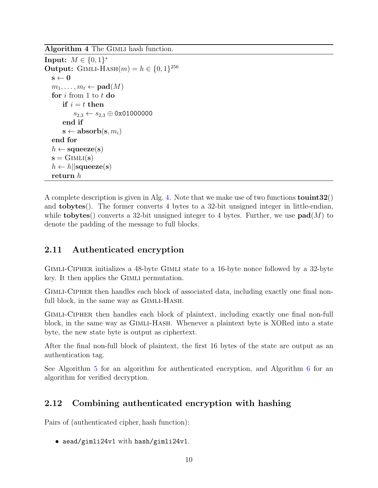<span id="page-9-2"></span>Algorithm 4 The GIMLI hash function.

```
Input: M \in \{0, 1\}^*Output: GIMLI-HASH(m) = h \in \{0, 1\}^{256}\mathbf{s} \leftarrow \mathbf{0}m_1, \ldots, m_t \leftarrow \textbf{pad}(M)for i from 1 to t do
     if i = t then
          s_{2,3} \leftarrow s_{2,3} \oplus 0 \times 01000000end if
     \mathbf{s} \leftarrow \textbf{absorb}(\mathbf{s}, m_i)end for
h \leftarrow \text{square}(s)s = \text{GIMLI}(s)h \leftarrow h||squeeze(s)
return h
```
A complete description is given in Alg. [4.](#page-9-2) Note that we make use of two functions **touint32**() and tobytes(). The former converts 4 bytes to a 32-bit unsigned integer in little-endian, while **tobytes**() converts a 32-bit unsigned integer to 4 bytes. Further, we use  $\text{pad}(M)$  to denote the padding of the message to full blocks.

## <span id="page-9-0"></span>2.11 Authenticated encryption

GIMLI-CIPHER initializes a 48-byte GIMLI state to a 16-byte nonce followed by a 32-byte key. It then applies the Gimli permutation.

Gimli-Cipher then handles each block of associated data, including exactly one final nonfull block, in the same way as GIMLI-HASH.

Gimli-Cipher then handles each block of plaintext, including exactly one final non-full block, in the same way as Gimli-Hash. Whenever a plaintext byte is XORed into a state byte, the new state byte is output as ciphertext.

After the final non-full block of plaintext, the first 16 bytes of the state are output as an authentication tag.

See Algorithm [5](#page-10-0) for an algorithm for authenticated encryption, and Algorithm [6](#page-11-0) for an algorithm for verified decryption.

## <span id="page-9-1"></span>2.12 Combining authenticated encryption with hashing

Pairs of (authenticated cipher, hash function):

• aead/gimli24v1 with hash/gimli24v1.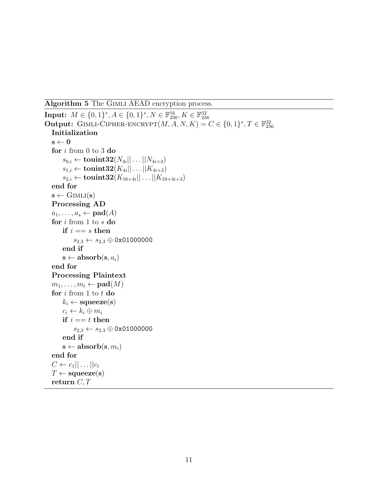<span id="page-10-0"></span>Algorithm 5 The GIMLI AEAD encryption process.

```
Input: M \in \{0, 1\}^*, A \in \{0, 1\}^*, N \in \mathbb{F}^{16}_{256}, K \in \mathbb{F}^{32}_{256}Output: GIMLI-CIPHER-ENCRYPT(M, A, N, K) = C \in \{0, 1\}^*, T \in \mathbb{F}_{256}^{32}Initialization
s \leftarrow 0for i from 0 to 3 do
      s_{0,i} \leftarrow \textbf{tounit32}(N_{4i}|| \ldots || N_{4i+3})s_{1,i} \leftarrow \textbf{tounit32}(K_{4i}|| \ldots || K_{4i+3})s_{2,i} \leftarrow \textbf{tounit32}({K_{16+4i}}||\dots||{K_{16+4i+3}})end for
s \leftarrow \text{GIMLI}(s)Processing AD
a_1, \ldots, a_s \leftarrow \textbf{pad}(A)for i from 1 to s do
     if i == s then
           s_{2,3} \leftarrow s_{2,3} \oplus 0 \times 01000000end if
     \mathbf{s} \leftarrow \text{absorb}(\mathbf{s}, a_i)end for
Processing Plaintext
m_1, \ldots, m_t \leftarrow \textbf{pad}(M)for i from 1 to t do
     k_i \leftarrow \text{square}(\mathbf{s})c_i \leftarrow k_i \oplus m_iif i == t then
           s_{2,3} \leftarrow s_{2,3} \oplus 0 \times 01000000end if
     \mathbf{s} \leftarrow \textbf{absorb}(\mathbf{s}, m_i)end for
C \leftarrow c_1 || \dots || c_tT \leftarrow \text{square}(s)return C, T
```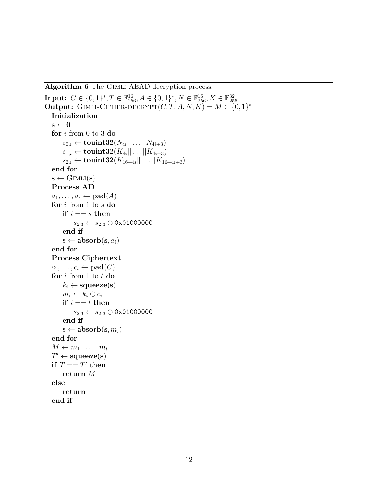<span id="page-11-0"></span>Algorithm 6 The Gimli AEAD decryption process.

```
Input: C \in \{0, 1\}^*, T \in \mathbb{F}^{16}_{256}, A \in \{0, 1\}^*, N \in \mathbb{F}^{16}_{256}, K \in \mathbb{F}^{32}_{256}Output: GIMLI-CIPHER-DECRYPT(C, T, A, N, K) = M \in \{0, 1\}^*Initialization
\mathbf{s} \leftarrow \mathbf{0}for i from 0 to 3 do
      s_{0,i} \leftarrow \textbf{tounit32}(N_{4i}|| \ldots || N_{4i+3})s_{1,i} \leftarrow \textbf{tounit32}(K_{4i}|| \ldots || K_{4i+3})s_{2,i} \leftarrow \textbf{tounit32}({K_{16+4i}}||\dots||{K_{16+4i+3}})end for
s \leftarrow GIMLI(s)
Process AD
a_1, \ldots, a_s \leftarrow \textbf{pad}(A)for i from 1 to s do
     if i == s then
           s_{2,3} \leftarrow s_{2,3} \oplus 0x01000000
     end if
     \mathbf{s} \leftarrow \textbf{absorb}(\mathbf{s}, a_i)end for
Process Ciphertext
c_1, \ldots, c_t \leftarrow \textbf{pad}(C)for i from 1 to t do
     k_i \leftarrow \text{square}(s)m_i \leftarrow k_i \oplus c_iif i == t then
          s_{2,3} \leftarrow s_{2,3} \oplus \texttt{0x01000000}end if
     \mathbf{s} \leftarrow \textbf{absorb}(\mathbf{s}, m_i)end for
M \leftarrow m_1 || \dots || m_tT' \leftarrow \text{square}(s)if T == T' then
     return M
else
     return ⊥
end if
```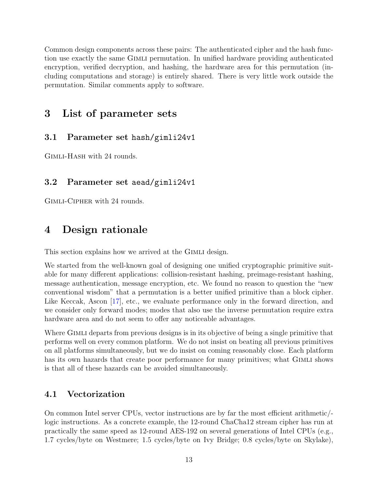Common design components across these pairs: The authenticated cipher and the hash function use exactly the same Gimli permutation. In unified hardware providing authenticated encryption, verified decryption, and hashing, the hardware area for this permutation (including computations and storage) is entirely shared. There is very little work outside the permutation. Similar comments apply to software.

# <span id="page-12-0"></span>3 List of parameter sets

### <span id="page-12-1"></span>3.1 Parameter set hash/gimli24v1

Gimli-Hash with 24 rounds.

### <span id="page-12-2"></span>3.2 Parameter set aead/gimli24v1

Gimli-Cipher with 24 rounds.

# <span id="page-12-3"></span>4 Design rationale

This section explains how we arrived at the GIMLI design.

We started from the well-known goal of designing one unified cryptographic primitive suitable for many different applications: collision-resistant hashing, preimage-resistant hashing, message authentication, message encryption, etc. We found no reason to question the "new conventional wisdom" that a permutation is a better unified primitive than a block cipher. Like Keccak, Ascon [\[17\]](#page-42-0), etc., we evaluate performance only in the forward direction, and we consider only forward modes; modes that also use the inverse permutation require extra hardware area and do not seem to offer any noticeable advantages.

Where GIMLI departs from previous designs is in its objective of being a single primitive that performs well on every common platform. We do not insist on beating all previous primitives on all platforms simultaneously, but we do insist on coming reasonably close. Each platform has its own hazards that create poor performance for many primitives; what GIMLI shows is that all of these hazards can be avoided simultaneously.

### <span id="page-12-4"></span>4.1 Vectorization

On common Intel server CPUs, vector instructions are by far the most efficient arithmetic/ logic instructions. As a concrete example, the 12-round ChaCha12 stream cipher has run at practically the same speed as 12-round AES-192 on several generations of Intel CPUs (e.g., 1.7 cycles/byte on Westmere; 1.5 cycles/byte on Ivy Bridge; 0.8 cycles/byte on Skylake),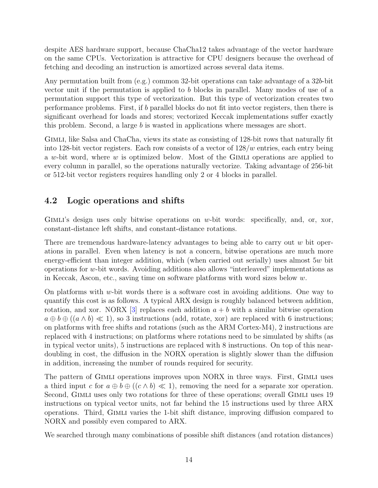despite AES hardware support, because ChaCha12 takes advantage of the vector hardware on the same CPUs. Vectorization is attractive for CPU designers because the overhead of fetching and decoding an instruction is amortized across several data items.

Any permutation built from (e.g.) common 32-bit operations can take advantage of a 32b-bit vector unit if the permutation is applied to b blocks in parallel. Many modes of use of a permutation support this type of vectorization. But this type of vectorization creates two performance problems. First, if b parallel blocks do not fit into vector registers, then there is significant overhead for loads and stores; vectorized Keccak implementations suffer exactly this problem. Second, a large  $b$  is wasted in applications where messages are short.

Gimli, like Salsa and ChaCha, views its state as consisting of 128-bit rows that naturally fit into 128-bit vector registers. Each row consists of a vector of  $128/w$  entries, each entry being a w-bit word, where w is optimized below. Most of the GIMLI operations are applied to every column in parallel, so the operations naturally vectorize. Taking advantage of 256-bit or 512-bit vector registers requires handling only 2 or 4 blocks in parallel.

## <span id="page-13-0"></span>4.2 Logic operations and shifts

GIMLI's design uses only bitwise operations on w-bit words: specifically, and, or, xor, constant-distance left shifts, and constant-distance rotations.

There are tremendous hardware-latency advantages to being able to carry out  $w$  bit operations in parallel. Even when latency is not a concern, bitwise operations are much more energy-efficient than integer addition, which (when carried out serially) uses almost 5w bit operations for w-bit words. Avoiding additions also allows "interleaved" implementations as in Keccak, Ascon, etc., saving time on software platforms with word sizes below w.

On platforms with w-bit words there is a software cost in avoiding additions. One way to quantify this cost is as follows. A typical ARX design is roughly balanced between addition, rotation, and xor. NORX [\[3\]](#page-39-0) replaces each addition  $a + b$  with a similar bitwise operation  $a \oplus b \oplus (a \wedge b) \ll 1$ , so 3 instructions (add, rotate, xor) are replaced with 6 instructions; on platforms with free shifts and rotations (such as the ARM Cortex-M4), 2 instructions are replaced with 4 instructions; on platforms where rotations need to be simulated by shifts (as in typical vector units), 5 instructions are replaced with 8 instructions. On top of this neardoubling in cost, the diffusion in the NORX operation is slightly slower than the diffusion in addition, increasing the number of rounds required for security.

The pattern of Gimli operations improves upon NORX in three ways. First, Gimli uses a third input c for  $a \oplus b \oplus ((c \wedge b) \ll 1)$ , removing the need for a separate xor operation. Second, GIMLI uses only two rotations for three of these operations; overall GIMLI uses 19 instructions on typical vector units, not far behind the 15 instructions used by three ARX operations. Third, Gimli varies the 1-bit shift distance, improving diffusion compared to NORX and possibly even compared to ARX.

We searched through many combinations of possible shift distances (and rotation distances)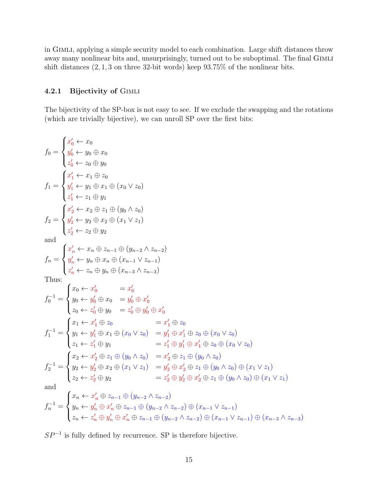in GIMLI, applying a simple security model to each combination. Large shift distances throw away many nonlinear bits and, unsurprisingly, turned out to be suboptimal. The final GIMLI shift distances  $(2, 1, 3$  on three 32-bit words) keep  $93.75\%$  of the nonlinear bits.

#### <span id="page-14-0"></span>4.2.1 Bijectivity of Gimli

The bijectivity of the SP-box is not easy to see. If we exclude the swapping and the rotations (which are trivially bijective), we can unroll SP over the first bits:

$$
f_{0} =\begin{cases} x'_{0} \leftarrow x_{0} \\ y'_{0} \leftarrow y_{0} \oplus x_{0} \\ z'_{0} \leftarrow z_{0} \oplus y_{0} \\ y'_{1} \leftarrow y_{1} \oplus x_{1} \oplus (x_{0} \vee z_{0}) \\ z'_{1} \leftarrow z_{1} \oplus y_{1} \\ y'_{2} \leftarrow z_{2} \oplus z_{1} \oplus (y_{0} \wedge z_{0}) \\ z'_{2} \leftarrow z_{2} \oplus y_{2} \\ z'_{2} \leftarrow z_{2} \oplus y_{2} \\ \text{and} \\ f_{n} = \begin{cases} x'_{n} \leftarrow x_{n} \oplus z_{n-1} \oplus (y_{n-2} \wedge z_{n-2}) \\ y'_{n} \leftarrow y_{n} \oplus x_{n} \oplus (x_{n-1} \vee z_{n-1}) \\ z'_{n} \leftarrow z_{n} \oplus y_{n} \oplus (x_{n-3} \wedge z_{n-3}) \end{cases} \\ f_{n} = \begin{cases} x'_{n} \leftarrow x_{n} \oplus z_{n-1} \oplus (y_{n-2} \wedge z_{n-2}) \\ y'_{n} \leftarrow y_{n} \oplus x_{n} \oplus (x_{n-1} \vee z_{n-1}) \\ z'_{n} \leftarrow z_{n} \oplus y_{n} \oplus (x_{n-3} \wedge z_{n-3}) \end{cases} \\ f_{n} = \begin{cases} x_{0} \leftarrow x'_{0} & = x'_{0} \\ y_{0} \leftarrow y'_{0} \oplus x_{0} & = y'_{0} \oplus x'_{0} \\ z_{0} \leftarrow z'_{0} \oplus y_{0} & = z'_{0} \oplus y'_{0} \oplus x'_{0} \\ z_{1} \leftarrow z'_{1} \oplus z_{0} & = x'_{1} \oplus z_{0} \\ y_{1} \leftarrow y'_{1} \oplus x_{1} \oplus (x_{0} \vee z_{0}) & = y'_{1} \oplus x'_{1} \oplus z_{0} \oplus (x_{0} \vee z_{0}) \\ z_{1} \leftarrow z'_{1} \oplus y_{1} & = z'_{1} \oplus y'_{1} \oplus x'_{1} \oplus z_{0} \oplus (x_{0} \vee z_{0}) \\ z_{2} \leftarrow z'_{2} \
$$

 $SP^{-1}$  is fully defined by recurrence. SP is therefore bijective.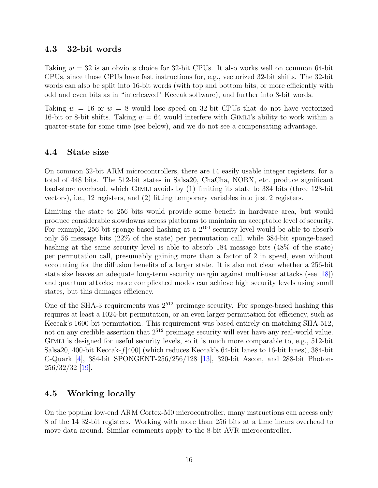### <span id="page-15-0"></span>4.3 32-bit words

Taking  $w = 32$  is an obvious choice for 32-bit CPUs. It also works well on common 64-bit CPUs, since those CPUs have fast instructions for, e.g., vectorized 32-bit shifts. The 32-bit words can also be split into 16-bit words (with top and bottom bits, or more efficiently with odd and even bits as in "interleaved" Keccak software), and further into 8-bit words.

Taking  $w = 16$  or  $w = 8$  would lose speed on 32-bit CPUs that do not have vectorized 16-bit or 8-bit shifts. Taking  $w = 64$  would interfere with GIMLI's ability to work within a quarter-state for some time (see below), and we do not see a compensating advantage.

### <span id="page-15-1"></span>4.4 State size

On common 32-bit ARM microcontrollers, there are 14 easily usable integer registers, for a total of 448 bits. The 512-bit states in Salsa20, ChaCha, NORX, etc. produce significant load-store overhead, which GIMLI avoids by (1) limiting its state to 384 bits (three 128-bit vectors), i.e., 12 registers, and (2) fitting temporary variables into just 2 registers.

Limiting the state to 256 bits would provide some benefit in hardware area, but would produce considerable slowdowns across platforms to maintain an acceptable level of security. For example, 256-bit sponge-based hashing at a  $2^{100}$  security level would be able to absorb only 56 message bits (22% of the state) per permutation call, while 384-bit sponge-based hashing at the same security level is able to absorb 184 message bits  $(48\% \text{ of the state})$ per permutation call, presumably gaining more than a factor of 2 in speed, even without accounting for the diffusion benefits of a larger state. It is also not clear whether a 256-bit state size leaves an adequate long-term security margin against multi-user attacks (see [\[18\]](#page-42-1)) and quantum attacks; more complicated modes can achieve high security levels using small states, but this damages efficiency.

One of the SHA-3 requirements was  $2^{512}$  preimage security. For sponge-based hashing this requires at least a 1024-bit permutation, or an even larger permutation for efficiency, such as Keccak's 1600-bit permutation. This requirement was based entirely on matching SHA-512, not on any credible assertion that  $2^{512}$  preimage security will ever have any real-world value. GIMLI is designed for useful security levels, so it is much more comparable to, e.g., 512-bit Salsa20, 400-bit Keccak- $f$ [400] (which reduces Keccak's 64-bit lanes to 16-bit lanes), 384-bit C-Quark [\[4\]](#page-39-1), 384-bit SPONGENT-256/256/128 [\[13\]](#page-41-1), 320-bit Ascon, and 288-bit Photon-256/32/32 [\[19\]](#page-42-2).

## <span id="page-15-2"></span>4.5 Working locally

On the popular low-end ARM Cortex-M0 microcontroller, many instructions can access only 8 of the 14 32-bit registers. Working with more than 256 bits at a time incurs overhead to move data around. Similar comments apply to the 8-bit AVR microcontroller.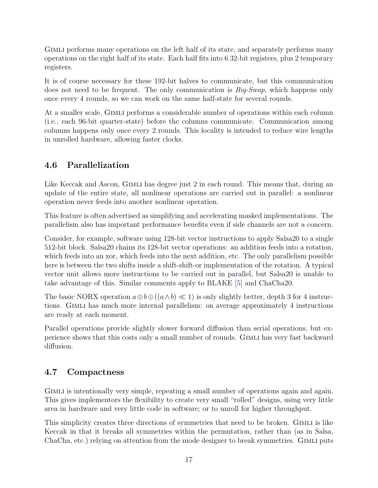Gimli performs many operations on the left half of its state, and separately performs many operations on the right half of its state. Each half fits into 6 32-bit registers, plus 2 temporary registers.

It is of course necessary for these 192-bit halves to communicate, but this communication does not need to be frequent. The only communication is *Big-Swap*, which happens only once every 4 rounds, so we can work on the same half-state for several rounds.

At a smaller scale, Gimli performs a considerable number of operations within each column (i.e., each 96-bit quarter-state) before the columns communicate. Communication among columns happens only once every 2 rounds. This locality is intended to reduce wire lengths in unrolled hardware, allowing faster clocks.

## <span id="page-16-0"></span>4.6 Parallelization

Like Keccak and Ascon, GIMLI has degree just 2 in each round. This means that, during an update of the entire state, all nonlinear operations are carried out in parallel: a nonlinear operation never feeds into another nonlinear operation.

This feature is often advertised as simplifying and accelerating masked implementations. The parallelism also has important performance benefits even if side channels are not a concern.

Consider, for example, software using 128-bit vector instructions to apply Salsa20 to a single 512-bit block. Salsa20 chains its 128-bit vector operations: an addition feeds into a rotation, which feeds into an xor, which feeds into the next addition, etc. The only parallelism possible here is between the two shifts inside a shift-shift-or implementation of the rotation. A typical vector unit allows more instructions to be carried out in parallel, but Salsa20 is unable to take advantage of this. Similar comments apply to BLAKE [\[5\]](#page-39-2) and ChaCha20.

The basic NORX operation  $a \oplus b \oplus ((a \wedge b) \ll 1)$  is only slightly better, depth 3 for 4 instructions. Gimli has much more internal parallelism: on average approximately 4 instructions are ready at each moment.

Parallel operations provide slightly slower forward diffusion than serial operations, but experience shows that this costs only a small number of rounds. Gimli has very fast backward diffusion.

## <span id="page-16-1"></span>4.7 Compactness

GIMLI is intentionally very simple, repeating a small number of operations again and again. This gives implementors the flexibility to create very small "rolled" designs, using very little area in hardware and very little code in software; or to unroll for higher throughput.

This simplicity creates three directions of symmetries that need to be broken. GIMLI is like Keccak in that it breaks all symmetries within the permutation, rather than (as in Salsa, ChaCha, etc.) relying on attention from the mode designer to break symmetries. GIMLI puts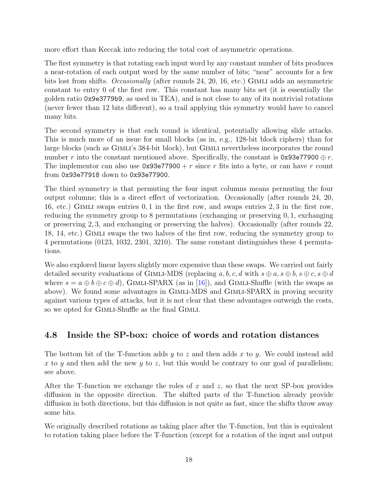more effort than Keccak into reducing the total cost of asymmetric operations.

The first symmetry is that rotating each input word by any constant number of bits produces a near-rotation of each output word by the same number of bits; "near" accounts for a few bits lost from shifts. Occasionally (after rounds 24, 20, 16, etc.) GIMLI adds an asymmetric constant to entry 0 of the first row. This constant has many bits set (it is essentially the golden ratio 0x9e3779b9, as used in TEA), and is not close to any of its nontrivial rotations (never fewer than 12 bits different), so a trail applying this symmetry would have to cancel many bits.

The second symmetry is that each round is identical, potentially allowing slide attacks. This is much more of an issue for small blocks (as in, e.g., 128-bit block ciphers) than for large blocks (such as GIMLI's 384-bit block), but GIMLI nevertheless incorporates the round number r into the constant mentioned above. Specifically, the constant is  $0x93e77900 \oplus r$ . The implementor can also use  $0x93e77900 + r$  since r fits into a byte, or can have r count from 0x93e77918 down to 0x93e77900.

The third symmetry is that permuting the four input columns means permuting the four output columns; this is a direct effect of vectorization. Occasionally (after rounds 24, 20, 16, etc.) Gimli swaps entries 0, 1 in the first row, and swaps entries 2, 3 in the first row, reducing the symmetry group to 8 permutations (exchanging or preserving 0, 1, exchanging or preserving 2, 3, and exchanging or preserving the halves). Occasionally (after rounds 22, 18, 14, etc.) Gimli swaps the two halves of the first row, reducing the symmetry group to 4 permutations (0123, 1032, 2301, 3210). The same constant distinguishes these 4 permutations.

We also explored linear layers slightly more expensive than these swaps. We carried out fairly detailed security evaluations of GIMLI-MDS (replacing  $a, b, c, d$  with  $s \oplus a, s \oplus b, s \oplus c, s \oplus d$ where  $s = a \oplus b \oplus c \oplus d$ , GIMLI-SPARX (as in [\[16\]](#page-42-3)), and GIMLI-Shuffle (with the swaps as above). We found some advantages in GIMLI-MDS and GIMLI-SPARX in proving security against various types of attacks, but it is not clear that these advantages outweigh the costs, so we opted for GIMLI-Shuffle as the final GIMLI.

## <span id="page-17-0"></span>4.8 Inside the SP-box: choice of words and rotation distances

The bottom bit of the T-function adds y to z and then adds x to y. We could instead add x to y and then add the new y to z, but this would be contrary to our goal of parallelism; see above.

After the T-function we exchange the roles of x and z, so that the next SP-box provides diffusion in the opposite direction. The shifted parts of the T-function already provide diffusion in both directions, but this diffusion is not quite as fast, since the shifts throw away some bits.

We originally described rotations as taking place after the T-function, but this is equivalent to rotation taking place before the T-function (except for a rotation of the input and output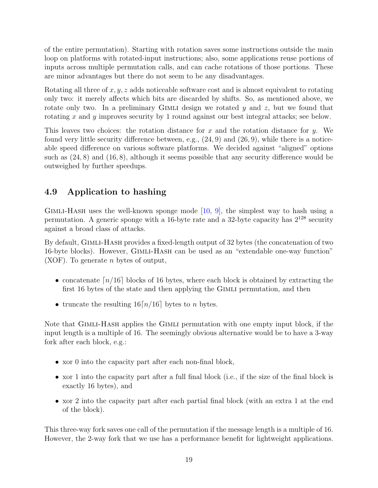of the entire permutation). Starting with rotation saves some instructions outside the main loop on platforms with rotated-input instructions; also, some applications reuse portions of inputs across multiple permutation calls, and can cache rotations of those portions. These are minor advantages but there do not seem to be any disadvantages.

Rotating all three of  $x, y, z$  adds noticeable software cost and is almost equivalent to rotating only two: it merely affects which bits are discarded by shifts. So, as mentioned above, we rotate only two. In a preliminary GIMLI design we rotated y and z, but we found that rotating x and y improves security by 1 round against our best integral attacks; see below.

This leaves two choices: the rotation distance for x and the rotation distance for y. We found very little security difference between, e.g.,  $(24, 9)$  and  $(26, 9)$ , while there is a noticeable speed difference on various software platforms. We decided against "aligned" options such as  $(24, 8)$  and  $(16, 8)$ , although it seems possible that any security difference would be outweighed by further speedups.

### <span id="page-18-0"></span>4.9 Application to hashing

Gimli-Hash uses the well-known sponge mode [\[10,](#page-41-2) [9\]](#page-41-3), the simplest way to hash using a permutation. A generic sponge with a 16-byte rate and a 32-byte capacity has  $2^{128}$  security against a broad class of attacks.

By default, GIMLI-HASH provides a fixed-length output of 32 bytes (the concatenation of two 16-byte blocks). However, Gimli-Hash can be used as an "extendable one-way function" (XOF). To generate n bytes of output,

- concatenate  $\lfloor n/16 \rfloor$  blocks of 16 bytes, where each block is obtained by extracting the first 16 bytes of the state and then applying the Gimli permutation, and then
- truncate the resulting  $16[n/16]$  bytes to *n* bytes.

Note that Gimli-Hash applies the Gimli permutation with one empty input block, if the input length is a multiple of 16. The seemingly obvious alternative would be to have a 3-way fork after each block, e.g.:

- xor 0 into the capacity part after each non-final block,
- xor 1 into the capacity part after a full final block (i.e., if the size of the final block is exactly 16 bytes), and
- xor 2 into the capacity part after each partial final block (with an extra 1 at the end of the block).

This three-way fork saves one call of the permutation if the message length is a multiple of 16. However, the 2-way fork that we use has a performance benefit for lightweight applications.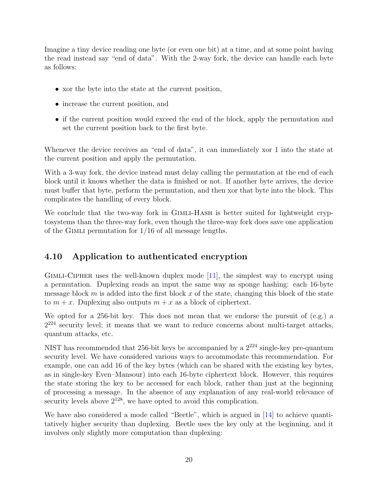Imagine a tiny device reading one byte (or even one bit) at a time, and at some point having the read instead say "end of data". With the 2-way fork, the device can handle each byte as follows:

- xor the byte into the state at the current position,
- increase the current position, and
- if the current position would exceed the end of the block, apply the permutation and set the current position back to the first byte.

Whenever the device receives an "end of data", it can immediately xor 1 into the state at the current position and apply the permutation.

With a 3-way fork, the device instead must delay calling the permutation at the end of each block until it knows whether the data is finished or not. If another byte arrives, the device must buffer that byte, perform the permutation, and then xor that byte into the block. This complicates the handling of every block.

We conclude that the two-way fork in GIMLI-HASH is better suited for lightweight cryptosystems than the three-way fork, even though the three-way fork does save one application of the GIMLI permutation for  $1/16$  of all message lengths.

## <span id="page-19-0"></span>4.10 Application to authenticated encryption

Gimli-Cipher uses the well-known duplex mode [\[11\]](#page-41-4), the simplest way to encrypt using a permutation. Duplexing reads an input the same way as sponge hashing: each 16-byte message block  $m$  is added into the first block  $x$  of the state, changing this block of the state to  $m + x$ . Duplexing also outputs  $m + x$  as a block of ciphertext.

We opted for a 256-bit key. This does not mean that we endorse the pursuit of  $(e.g.,)$  a  $2^{224}$  security level; it means that we want to reduce concerns about multi-target attacks, quantum attacks, etc.

NIST has recommended that 256-bit keys be accompanied by a  $2^{224}$  single-key pre-quantum security level. We have considered various ways to accommodate this recommendation. For example, one can add 16 of the key bytes (which can be shared with the existing key bytes, as in single-key Even–Mansour) into each 16-byte ciphertext block. However, this requires the state storing the key to be accessed for each block, rather than just at the beginning of processing a message. In the absence of any explanation of any real-world relevance of security levels above  $2^{128}$ , we have opted to avoid this complication.

We have also considered a mode called "Beetle", which is argued in [\[14\]](#page-41-5) to achieve quantitatively higher security than duplexing. Beetle uses the key only at the beginning, and it involves only slightly more computation than duplexing: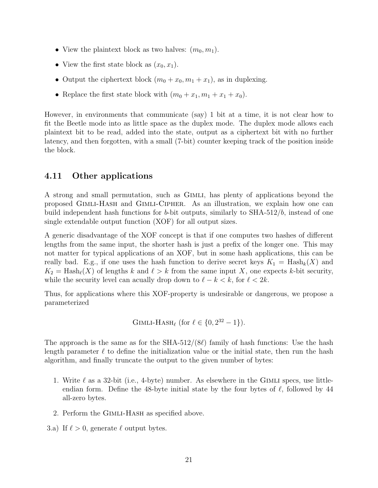- View the plaintext block as two halves:  $(m_0, m_1)$ .
- View the first state block as  $(x_0, x_1)$ .
- Output the ciphertext block  $(m_0 + x_0, m_1 + x_1)$ , as in duplexing.
- Replace the first state block with  $(m_0 + x_1, m_1 + x_1 + x_0)$ .

However, in environments that communicate (say) 1 bit at a time, it is not clear how to fit the Beetle mode into as little space as the duplex mode. The duplex mode allows each plaintext bit to be read, added into the state, output as a ciphertext bit with no further latency, and then forgotten, with a small (7-bit) counter keeping track of the position inside the block.

### <span id="page-20-0"></span>4.11 Other applications

A strong and small permutation, such as Gimli, has plenty of applications beyond the proposed Gimli-Hash and Gimli-Cipher. As an illustration, we explain how one can build independent hash functions for b-bit outputs, similarly to SHA-512/b, instead of one single extendable output function (XOF) for all output sizes.

A generic disadvantage of the XOF concept is that if one computes two hashes of different lengths from the same input, the shorter hash is just a prefix of the longer one. This may not matter for typical applications of an XOF, but in some hash applications, this can be really bad. E.g., if one uses the hash function to derive secret keys  $K_1 = \text{Hash}_k(X)$  and  $K_2 = \text{Hash}_{\ell}(X)$  of lengths k and  $\ell > k$  from the same input X, one expects k-bit security, while the security level can acually drop down to  $\ell - k < k$ , for  $\ell < 2k$ .

Thus, for applications where this XOF-property is undesirable or dangerous, we propose a parameterized

GIMLI-HASH<sub>l</sub> (for 
$$
l \in \{0, 2^{32} - 1\}
$$
).

The approach is the same as for the SHA-512/(8 $\ell$ ) family of hash functions: Use the hash length parameter  $\ell$  to define the initialization value or the initial state, then run the hash algorithm, and finally truncate the output to the given number of bytes:

- 1. Write  $\ell$  as a 32-bit (i.e., 4-byte) number. As elsewhere in the GIMLI specs, use littleendian form. Define the 48-byte initial state by the four bytes of  $\ell$ , followed by 44 all-zero bytes.
- 2. Perform the Gimli-Hash as specified above.
- 3.a) If  $\ell > 0$ , generate  $\ell$  output bytes.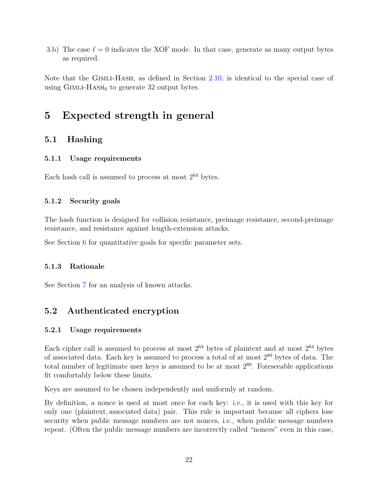3.b) The case  $\ell = 0$  indicates the XOF mode. In that case, generate as many output bytes as required.

Note that the GIMLI-HASH, as defined in Section [2.10,](#page-8-0) is identical to the special case of using  $GIMLI-HASH<sub>0</sub>$  to generate 32 output bytes.

## <span id="page-21-0"></span>5 Expected strength in general

### <span id="page-21-1"></span>5.1 Hashing

#### <span id="page-21-2"></span>5.1.1 Usage requirements

Each hash call is assumed to process at most  $2^{64}$  bytes.

#### <span id="page-21-3"></span>5.1.2 Security goals

The hash function is designed for collision resistance, preimage resistance, second-preimage resistance, and resistance against length-extension attacks.

See Section [6](#page-22-2) for quantitative goals for specific parameter sets.

#### <span id="page-21-4"></span>5.1.3 Rationale

See Section [7](#page-23-0) for an analysis of known attacks.

### <span id="page-21-5"></span>5.2 Authenticated encryption

#### <span id="page-21-6"></span>5.2.1 Usage requirements

Each cipher call is assumed to process at most  $2^{64}$  bytes of plaintext and at most  $2^{64}$  bytes of associated data. Each key is assumed to process a total of at most  $2^{80}$  bytes of data. The total number of legitimate user keys is assumed to be at most  $2^{80}$ . Foreseeable applications fit comfortably below these limits.

Keys are assumed to be chosen independently and uniformly at random.

By definition, a nonce is used at most once for each key: i.e., it is used with this key for only one (plaintext, associated data) pair. This rule is important because all ciphers lose security when public message numbers are not nonces, i.e., when public message numbers repeat. (Often the public message numbers are incorrectly called "nonces" even in this case,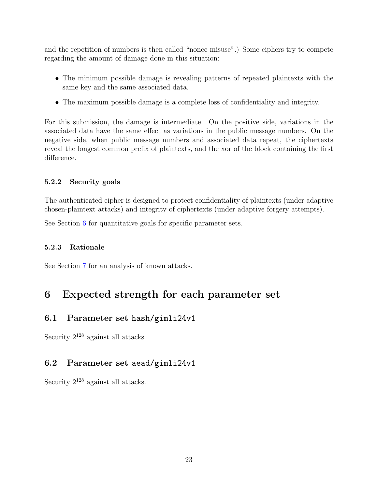and the repetition of numbers is then called "nonce misuse".) Some ciphers try to compete regarding the amount of damage done in this situation:

- The minimum possible damage is revealing patterns of repeated plaintexts with the same key and the same associated data.
- The maximum possible damage is a complete loss of confidentiality and integrity.

For this submission, the damage is intermediate. On the positive side, variations in the associated data have the same effect as variations in the public message numbers. On the negative side, when public message numbers and associated data repeat, the ciphertexts reveal the longest common prefix of plaintexts, and the xor of the block containing the first difference.

#### <span id="page-22-0"></span>5.2.2 Security goals

The authenticated cipher is designed to protect confidentiality of plaintexts (under adaptive chosen-plaintext attacks) and integrity of ciphertexts (under adaptive forgery attempts).

See Section [6](#page-22-2) for quantitative goals for specific parameter sets.

#### <span id="page-22-1"></span>5.2.3 Rationale

See Section [7](#page-23-0) for an analysis of known attacks.

## <span id="page-22-2"></span>6 Expected strength for each parameter set

### <span id="page-22-3"></span>6.1 Parameter set hash/gimli24v1

Security  $2^{128}$  against all attacks.

### <span id="page-22-4"></span>6.2 Parameter set aead/gimli24v1

Security  $2^{128}$  against all attacks.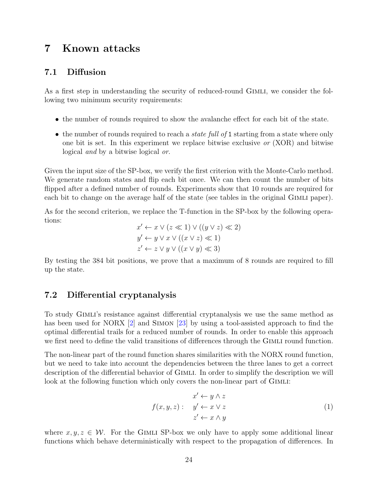## <span id="page-23-0"></span>7 Known attacks

#### <span id="page-23-1"></span>7.1 Diffusion

As a first step in understanding the security of reduced-round GIMLI, we consider the following two minimum security requirements:

- the number of rounds required to show the avalanche effect for each bit of the state.
- the number of rounds required to reach a *state full of* 1 starting from a state where only one bit is set. In this experiment we replace bitwise exclusive or (XOR) and bitwise logical and by a bitwise logical or.

Given the input size of the SP-box, we verify the first criterion with the Monte-Carlo method. We generate random states and flip each bit once. We can then count the number of bits flipped after a defined number of rounds. Experiments show that 10 rounds are required for each bit to change on the average half of the state (see tables in the original Gimli paper).

As for the second criterion, we replace the T-function in the SP-box by the following operations:

$$
x' \leftarrow x \lor (z \ll 1) \lor ((y \lor z) \ll 2)
$$
  

$$
y' \leftarrow y \lor x \lor ((x \lor z) \ll 1)
$$
  

$$
z' \leftarrow z \lor y \lor ((x \lor y) \ll 3)
$$

By testing the 384 bit positions, we prove that a maximum of 8 rounds are required to fill up the state.

#### <span id="page-23-2"></span>7.2 Differential cryptanalysis

To study Gimli's resistance against differential cryptanalysis we use the same method as has been used for NORX [\[2\]](#page-39-3) and SIMON [\[23\]](#page-42-4) by using a tool-assisted approach to find the optimal differential trails for a reduced number of rounds. In order to enable this approach we first need to define the valid transitions of differences through the GIMLI round function.

The non-linear part of the round function shares similarities with the NORX round function, but we need to take into account the dependencies between the three lanes to get a correct description of the differential behavior of GIMLI. In order to simplify the description we will look at the following function which only covers the non-linear part of GIMLI:

$$
x' \leftarrow y \land z
$$
  

$$
f(x, y, z): \quad y' \leftarrow x \lor z
$$
  

$$
z' \leftarrow x \land y
$$
  
(1)

where  $x, y, z \in \mathcal{W}$ . For the GIMLI SP-box we only have to apply some additional linear functions which behave deterministically with respect to the propagation of differences. In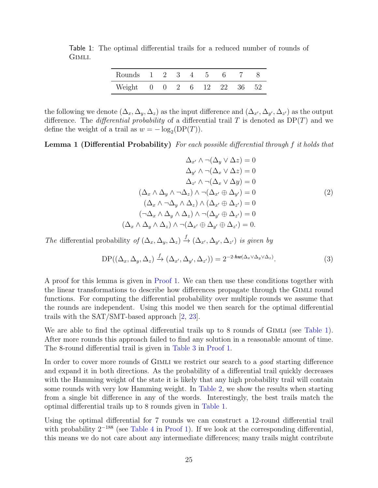Table 1: The optimal differential trails for a reduced number of rounds of Gimli.

<span id="page-24-0"></span>

| Rounds 1 2 3 4 5 6 7 8     |  |  |  |  |
|----------------------------|--|--|--|--|
| Weight 0 0 2 6 12 22 36 52 |  |  |  |  |

the following we denote  $(\Delta_x, \Delta_y, \Delta_z)$  as the input difference and  $(\Delta_{x'}, \Delta_{y'}, \Delta_{z'})$  as the output difference. The *differential probability* of a differential trail T is denoted as  $DP(T)$  and we define the weight of a trail as  $w = -\log_2(DP(T))$ .

<span id="page-24-1"></span>Lemma 1 (Differential Probability) For each possible differential through f it holds that

$$
\Delta_{x'} \wedge \neg(\Delta_y \vee \Delta z) = 0
$$

$$
\Delta_{y'} \wedge \neg(\Delta_x \vee \Delta z) = 0
$$

$$
\Delta_{z'} \wedge \neg(\Delta_x \vee \Delta y) = 0
$$

$$
(\Delta_x \wedge \Delta_y \wedge \neg \Delta_z) \wedge \neg(\Delta_{x'} \oplus \Delta_{y'}) = 0
$$

$$
(\Delta_x \wedge \neg \Delta_y \wedge \Delta_z) \wedge (\Delta_{x'} \oplus \Delta_{z'}) = 0
$$

$$
(\neg \Delta_x \wedge \Delta_y \wedge \Delta_z) \wedge \neg(\Delta_{y'} \oplus \Delta_{z'}) = 0
$$

$$
(\Delta_x \wedge \Delta_y \wedge \Delta_z) \wedge \neg(\Delta_{x'} \oplus \Delta_{y'}) = 0.
$$

The differential probability of  $(\Delta_x, \Delta_y, \Delta_z) \stackrel{f}{\to} (\Delta_{x'}, \Delta_{y'}, \Delta_{z'})$  is given by

$$
DP((\Delta_x, \Delta_y, \Delta_z) \xrightarrow{f} (\Delta_{x'}, \Delta_{y'}, \Delta_{z'})) = 2^{-2 \cdot \hbar w(\Delta_x \vee \Delta_y \vee \Delta_z)}.
$$
 (3)

A proof for this lemma is given in [Proof 1.](#page-25-0) We can then use these conditions together with the linear transformations to describe how differences propagate through the Gimli round functions. For computing the differential probability over multiple rounds we assume that the rounds are independent. Using this model we then search for the optimal differential trails with the SAT/SMT-based approach [\[2,](#page-39-3) [23\]](#page-42-4).

We are able to find the optimal differential trails up to 8 rounds of GIMLI (see [Table 1\)](#page-24-0). After more rounds this approach failed to find any solution in a reasonable amount of time. The 8-round differential trail is given in [Table 3](#page-27-0) in [Proof 1.](#page-25-0)

In order to cover more rounds of GIMLI we restrict our search to a *good* starting difference and expand it in both directions. As the probability of a differential trail quickly decreases with the Hamming weight of the state it is likely that any high probability trail will contain some rounds with very low Hamming weight. In [Table 2,](#page-25-1) we show the results when starting from a single bit difference in any of the words. Interestingly, the best trails match the optimal differential trails up to 8 rounds given in [Table 1.](#page-24-0)

Using the optimal differential for 7 rounds we can construct a 12-round differential trail with probability  $2^{-188}$  (see [Table 4](#page-28-0) in [Proof 1\)](#page-25-0). If we look at the corresponding differential, this means we do not care about any intermediate differences; many trails might contribute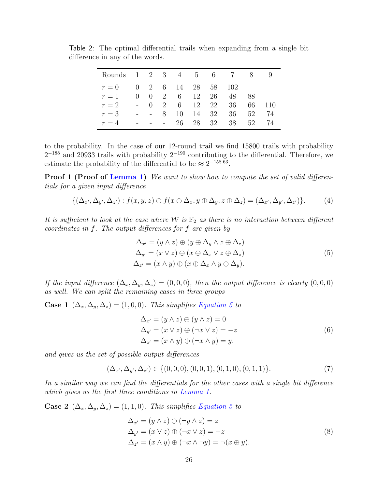<span id="page-25-1"></span>

| Rounds 1 2 3 4 5 6 |              |                                |             |            |    |                                                          |     | $\aleph$ | -9  |
|--------------------|--------------|--------------------------------|-------------|------------|----|----------------------------------------------------------|-----|----------|-----|
| $r=0$              |              |                                |             |            |    | $0 \quad 2 \quad 6 \quad 14 \quad 28 \quad 58 \quad 102$ |     |          |     |
| $r=1$              | $\mathbf{0}$ | $\theta$                       |             | 2 6 12     |    | 26                                                       | 48  | -88      |     |
| $r=2$              |              | $\left( \right)$               | 2           | $6\degree$ |    | 12 22                                                    | 36  | 66       | 110 |
| $r=3$              |              | <b>Contract Contract State</b> | $8^{\circ}$ | 10         |    | 14 32                                                    | -36 | 52       | 74  |
| $r=4$              |              |                                |             | 26         | 28 | 32                                                       | 38  | 52       | 74  |

Table 2: The optimal differential trails when expanding from a single bit difference in any of the words.

to the probability. In the case of our 12-round trail we find 15800 trails with probability  $2^{-188}$  and 20933 trails with probability  $2^{-190}$  contributing to the differential. Therefore, we estimate the probability of the differential to be  $\approx 2^{-158.63}$ .

<span id="page-25-0"></span>**Proof 1 (Proof of [Lemma 1\)](#page-24-1)** We want to show how to compute the set of valid differentials for a given input difference

$$
\{(\Delta_{x'}, \Delta_{y'}, \Delta_{z'}) : f(x, y, z) \oplus f(x \oplus \Delta_x, y \oplus \Delta_y, z \oplus \Delta_z) = (\Delta_{x'}, \Delta_{y'}, \Delta_{z'})\}.
$$
 (4)

It is sufficient to look at the case where W is  $\mathbb{F}_2$  as there is no interaction between different coordinates in f. The output differences for f are given by

<span id="page-25-2"></span>
$$
\Delta_{x'} = (y \wedge z) \oplus (y \oplus \Delta_y \wedge z \oplus \Delta_z) \n\Delta_{y'} = (x \vee z) \oplus (x \oplus \Delta_x \vee z \oplus \Delta_z) \n\Delta_{z'} = (x \wedge y) \oplus (x \oplus \Delta_x \wedge y \oplus \Delta_y).
$$
\n(5)

If the input difference  $(\Delta_x, \Delta_y, \Delta_z) = (0, 0, 0)$ , then the output difference is clearly  $(0, 0, 0)$ as well. We can split the remaining cases in three groups

**Case 1**  $(\Delta_x, \Delta_y, \Delta_z) = (1, 0, 0)$ . This simplifies [Equation 5](#page-25-2) to

$$
\Delta_{x'} = (y \wedge z) \oplus (y \wedge z) = 0
$$
  
\n
$$
\Delta_{y'} = (x \vee z) \oplus (\neg x \vee z) = -z
$$
  
\n
$$
\Delta_{z'} = (x \wedge y) \oplus (\neg x \wedge y) = y.
$$
\n(6)

and gives us the set of possible output differences

$$
(\Delta_{x'}, \Delta_{y'}, \Delta_{z'}) \in \{ (0, 0, 0), (0, 0, 1), (0, 1, 0), (0, 1, 1) \}.
$$
 (7)

In a similar way we can find the differentials for the other cases with a single bit difference which gives us the first three conditions in [Lemma 1.](#page-24-1)

Case 2  $(\Delta_x, \Delta_y, \Delta_z) = (1, 1, 0)$ . This simplifies [Equation 5](#page-25-2) to

$$
\Delta_{x'} = (y \wedge z) \oplus (\neg y \wedge z) = z
$$
  
\n
$$
\Delta_{y'} = (x \vee z) \oplus (\neg x \vee z) = -z
$$
  
\n
$$
\Delta_{z'} = (x \wedge y) \oplus (\neg x \wedge \neg y) = \neg(x \oplus y).
$$
\n(8)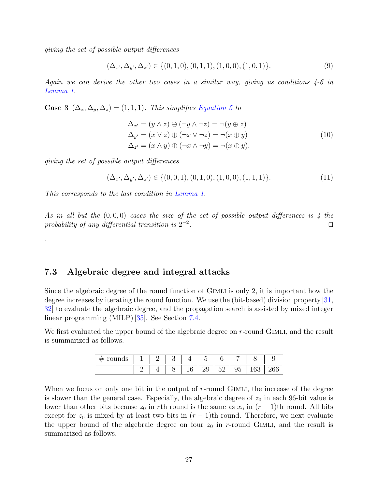giving the set of possible output differences

$$
(\Delta_{x'}, \Delta_{y'}, \Delta_{z'}) \in \{ (0, 1, 0), (0, 1, 1), (1, 0, 0), (1, 0, 1) \}.
$$
 (9)

Again we can derive the other two cases in a similar way, giving us conditions  $4-6$  in [Lemma 1.](#page-24-1)

Case 3  $(\Delta_x, \Delta_y, \Delta_z) = (1, 1, 1)$ . This simplifies [Equation 5](#page-25-2) to

$$
\Delta_{x'} = (y \wedge z) \oplus (\neg y \wedge \neg z) = \neg (y \oplus z)
$$
  
\n
$$
\Delta_{y'} = (x \vee z) \oplus (\neg x \vee \neg z) = \neg (x \oplus y)
$$
  
\n
$$
\Delta_{z'} = (x \wedge y) \oplus (\neg x \wedge \neg y) = \neg (x \oplus y).
$$
\n(10)

giving the set of possible output differences

.

$$
(\Delta_{x'}, \Delta_{y'}, \Delta_{z'}) \in \{ (0, 0, 1), (0, 1, 0), (1, 0, 0), (1, 1, 1) \}. \tag{11}
$$

This corresponds to the last condition in [Lemma 1.](#page-24-1)

As in all but the  $(0, 0, 0)$  cases the size of the set of possible output differences is 4 the probability of any differential transition is  $2^{-2}$ . The contract of the contract of  $\Box$ 

#### <span id="page-26-0"></span>7.3 Algebraic degree and integral attacks

Since the algebraic degree of the round function of GIMLI is only 2, it is important how the degree increases by iterating the round function. We use the (bit-based) division property [\[31,](#page-43-0) [32\]](#page-43-1) to evaluate the algebraic degree, and the propagation search is assisted by mixed integer linear programming (MILP) [\[35\]](#page-43-2). See Section [7.4.](#page-29-0)

We first evaluated the upper bound of the algebraic degree on  $r$ -round GIMLI, and the result is summarized as follows.

| ----<br>$\sigma$ and $\sigma$<br><u>.</u> |  |                  | $\overline{\phantom{0}}$ |                                  |                  |               |                              |
|-------------------------------------------|--|------------------|--------------------------|----------------------------------|------------------|---------------|------------------------------|
|                                           |  | $\sqrt{2}$<br>≖∪ | $\Omega$<br>⊿ປ           | $\tilde{\phantom{a}}$<br>ь<br>◡▱ | -<br>∽<br>ັ<br>◡ | $\sim$<br>TOO | $\Omega$<br>$\check{ }$<br>◡ |

When we focus on only one bit in the output of  $r$ -round GIMLI, the increase of the degree is slower than the general case. Especially, the algebraic degree of  $z_0$  in each 96-bit value is lower than other bits because  $z_0$  in rth round is the same as  $x_6$  in  $(r-1)$ th round. All bits except for  $z_0$  is mixed by at least two bits in  $(r-1)$ th round. Therefore, we next evaluate the upper bound of the algebraic degree on four  $z_0$  in r-round GIMLI, and the result is summarized as follows.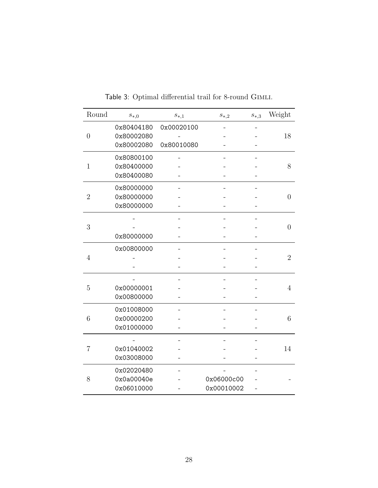| Round          | $s_{*,0}$  | $s_{\ast,1}$ | $s_{*,2}$  | $s_{\ast,3}$ | Weight          |
|----------------|------------|--------------|------------|--------------|-----------------|
|                | 0x80404180 | 0x00020100   |            |              |                 |
| $\overline{0}$ | 0x80002080 |              |            |              | 18              |
|                | 0x80002080 | 0x80010080   |            |              |                 |
|                | 0x80800100 |              |            |              |                 |
| $\mathbf{1}$   | 0x80400000 |              |            |              | 8               |
|                | 0x80400080 |              |            |              |                 |
|                | 0x80000000 |              |            |              |                 |
| $\overline{2}$ | 0x80000000 |              |            |              | $\overline{0}$  |
|                | 0x80000000 |              |            |              |                 |
|                |            |              |            |              |                 |
| 3              |            |              |            |              | $\theta$        |
|                | 0x80000000 |              |            |              |                 |
|                | 0x00800000 |              |            |              |                 |
| $\overline{4}$ |            |              |            |              | $\overline{2}$  |
|                |            |              |            |              |                 |
|                |            |              |            |              |                 |
| $\overline{5}$ | 0x00000001 |              |            |              | $\overline{4}$  |
|                | 0x00800000 |              |            |              |                 |
|                | 0x01008000 |              |            |              |                 |
| 6              | 0x00000200 |              |            |              | $6\phantom{.}6$ |
|                | 0x01000000 |              |            |              |                 |
|                |            |              |            |              |                 |
| $\overline{7}$ | 0x01040002 |              |            |              | 14              |
|                | 0x03008000 |              |            |              |                 |
|                | 0x02020480 |              |            |              |                 |
| 8              | 0x0a00040e |              | 0x06000c00 |              |                 |
|                | 0x06010000 |              | 0x00010002 |              |                 |

<span id="page-27-0"></span>Table 3: Optimal differential trail for 8-round Gimli.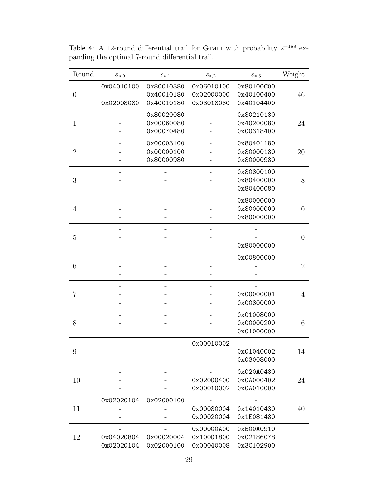| Round            | $s_{*,0}$  | $s_{\ast,1}$ | $s_{*,2}$  | $s_{\ast,3}$ | Weight         |
|------------------|------------|--------------|------------|--------------|----------------|
|                  | 0x04010100 | 0x80010380   | 0x06010100 | 0x80100C00   |                |
| $\boldsymbol{0}$ |            | 0x40010180   | 0x02000000 | 0x40100400   | 46             |
|                  | 0x02008080 | 0x40010180   | 0x03018080 | 0x40104400   |                |
|                  |            | 0x80020080   |            | 0x80210180   |                |
| $\mathbf{1}$     |            | 0x00060080   |            | 0x40200080   | 24             |
|                  |            | 0x00070480   |            | 0x00318400   |                |
|                  |            | 0x00003100   |            | 0x80401180   |                |
| $\overline{2}$   |            | 0x00000100   |            | 0x80000180   | 20             |
|                  |            | 0x80000980   |            | 0x80000980   |                |
|                  |            |              |            | 0x80800100   |                |
| 3                |            |              |            | 0x80400000   | 8              |
|                  |            |              |            | 0x80400080   |                |
|                  |            |              |            | 0x80000000   |                |
| $\overline{4}$   |            |              |            | 0x80000000   | $\theta$       |
|                  |            |              |            | 0x80000000   |                |
|                  |            |              |            |              |                |
| 5                |            |              |            |              | $\theta$       |
|                  |            |              |            | 0x80000000   |                |
|                  |            |              |            | 0x00800000   |                |
| 6                |            |              |            |              | $\overline{2}$ |
|                  |            |              |            |              |                |
|                  |            |              |            |              |                |
| 7                |            |              |            | 0x00000001   | 4              |
|                  |            |              |            | 0x00800000   |                |
|                  |            |              |            | 0x01008000   |                |
| 8                |            |              |            | 0x00000200   | 6              |
|                  |            |              |            | 0x01000000   |                |
|                  |            |              | 0x00010002 |              |                |
| 9                |            |              |            | 0x01040002   | 14             |
|                  |            |              |            | 0x03008000   |                |
|                  |            |              |            | 0x020A0480   |                |
| 10               |            |              | 0x02000400 | 0x0A000402   | 24             |
|                  |            |              | 0x00010002 | 0x0A010000   |                |
|                  | 0x02020104 | 0x02000100   |            |              |                |
| 11               |            |              | 0x00080004 | 0x14010430   | 40             |
|                  |            |              | 0x00020004 | 0x1E081480   |                |
|                  |            |              | 0x00000A00 | 0xB00A0910   |                |
| 12               | 0x04020804 | 0x00020004   | 0x10001800 | 0x02186078   |                |
|                  | 0x02020104 | 0x02000100   | 0x00040008 | 0x3C102900   |                |

<span id="page-28-0"></span>Table 4: A 12-round differential trail for GIMLI with probability  $2^{-188}$  expanding the optimal 7-round differential trail.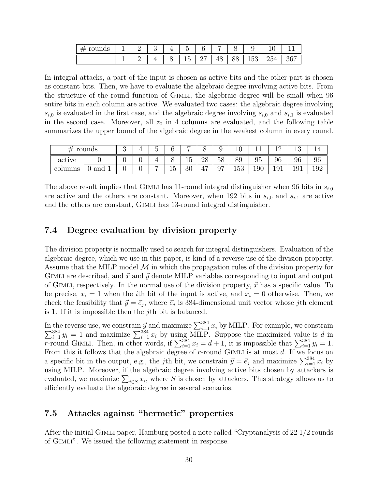| TOUTTON<br>, , | — |   |   | -                                  |                 |         |                |                     |                   |        |
|----------------|---|---|---|------------------------------------|-----------------|---------|----------------|---------------------|-------------------|--------|
|                | - | - | ◡ | $\overline{\phantom{0}}$<br>ь<br>∸ | $\sim$ $-$<br>- | -<br>≖∪ | $\smile\smile$ | $ -$<br>$\check{ }$ | $\sim$ $-$<br>204 | $\sim$ |

In integral attacks, a part of the input is chosen as active bits and the other part is chosen as constant bits. Then, we have to evaluate the algebraic degree involving active bits. From the structure of the round function of GIMLI, the algebraic degree will be small when 96 entire bits in each column are active. We evaluated two cases: the algebraic degree involving  $s_{i,0}$  is evaluated in the first case, and the algebraic degree involving  $s_{i,0}$  and  $s_{i,1}$  is evaluated in the second case. Moreover, all  $z_0$  in 4 columns are evaluated, and the following table summarizes the upper bound of the algebraic degree in the weakest column in every round.

| rounds<br>77 |     | ◡ | ᅩ |                |   | -        | ◡        |         | $\sim$<br>⊥∪    |     | - 11 | $\sim$ |       |
|--------------|-----|---|---|----------------|---|----------|----------|---------|-----------------|-----|------|--------|-------|
| active       |     |   |   |                |   | -<br>ᆂ   | റു<br>∠∪ | 58      | 89              | 95  | 96   | 96     | 96    |
| columns      | and |   |   | $\overline{ }$ | - | ാറ<br>ΟU | -<br>4.  | 07<br>ັ | $  \cap$<br>⊥∪ປ | 190 | ⊥∪⊥  | ᆂᇦᆂ    | ⊥ ∪ ∠ |

The above result implies that GIMLI has 11-round integral distinguisher when 96 bits in  $s_{i,0}$ are active and the others are constant. Moreover, when 192 bits in  $s_{i,0}$  and  $s_{i,1}$  are active and the others are constant, GIMLI has 13-round integral distinguisher.

#### <span id="page-29-0"></span>7.4 Degree evaluation by division property

The division property is normally used to search for integral distinguishers. Evaluation of the algebraic degree, which we use in this paper, is kind of a reverse use of the division property. Assume that the MILP model  $M$  in which the propagation rules of the division property for GIMLI are described, and  $\vec{x}$  and  $\vec{y}$  denote MILP variables corresponding to input and output of GIMLI, respectively. In the normal use of the division property,  $\vec{x}$  has a specific value. To be precise,  $x_i = 1$  when the *i*th bit of the input is active, and  $x_i = 0$  otherwise. Then, we check the feasibility that  $\vec{y} = \vec{e}_j$ , where  $\vec{e}_j$  is 384-dimensional unit vector whose jth element is 1. If it is impossible then the jth bit is balanced.

In the reverse use, we constrain  $\vec{y}$  and maximize  $\sum_{i=1}^{384}$ <br> $\sum_{i=1}^{384} y_i = 1$  and maximize  $\sum_{i=1}^{384} x_i$  by using MILP. the reverse use, we constrain  $\vec{y}$  and maximize  $\sum_{i=1}^{384} x_i$  by MILP. For example, we constrain  $384 \atop i=1$   $y_i = 1$  and maximize  $\sum_{i=1}^{384} x_i$  by using MILP. Suppose the maximized value is d in r-round GIMLI. Then, in other words, if  $\sum_{i=1}^{384} x_i = d+1$ , it is impossible that  $\sum_{i=1}^{384} y_i = 1$ . From this it follows that the algebraic degree of  $r$ -round GIMLI is at most  $d$ . If we focus on a specific bit in the output, e.g., the jth bit, we constrain  $\vec{y} = \vec{e}_j$  and maximize  $\sum_{i=1}^{384} x_i$  by using MILP. Moreover, if the algebraic degree involving active bits chosen by attackers is evaluated, we maximize  $\sum_{i\in S} x_i$ , where S is chosen by attackers. This strategy allows us to efficiently evaluate the algebraic degree in several scenarios.

#### <span id="page-29-1"></span>7.5 Attacks against "hermetic" properties

After the initial Gimli paper, Hamburg posted a note called "Cryptanalysis of 22 1/2 rounds of Gimli". We issued the following statement in response.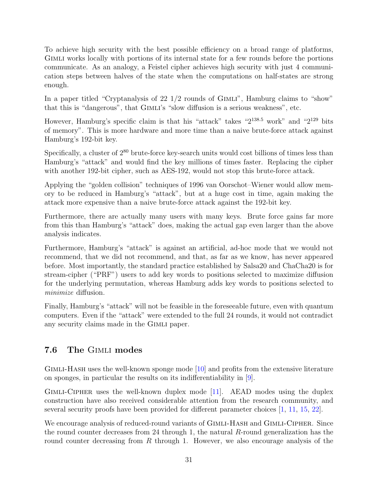To achieve high security with the best possible efficiency on a broad range of platforms, Gimli works locally with portions of its internal state for a few rounds before the portions communicate. As an analogy, a Feistel cipher achieves high security with just 4 communication steps between halves of the state when the computations on half-states are strong enough.

In a paper titled "Cryptanalysis of  $22 \frac{1}{2}$  rounds of GIMLI", Hamburg claims to "show" that this is "dangerous", that Gimli's "slow diffusion is a serious weakness", etc.

However, Hamburg's specific claim is that his "attack" takes " $2^{138.5}$  work" and " $2^{129}$  bits of memory". This is more hardware and more time than a naive brute-force attack against Hamburg's 192-bit key.

Specifically, a cluster of  $2^{80}$  brute-force key-search units would cost billions of times less than Hamburg's "attack" and would find the key millions of times faster. Replacing the cipher with another 192-bit cipher, such as AES-192, would not stop this brute-force attack.

Applying the "golden collision" techniques of 1996 van Oorschot–Wiener would allow memory to be reduced in Hamburg's "attack", but at a huge cost in time, again making the attack more expensive than a naive brute-force attack against the 192-bit key.

Furthermore, there are actually many users with many keys. Brute force gains far more from this than Hamburg's "attack" does, making the actual gap even larger than the above analysis indicates.

Furthermore, Hamburg's "attack" is against an artificial, ad-hoc mode that we would not recommend, that we did not recommend, and that, as far as we know, has never appeared before. Most importantly, the standard practice established by Salsa20 and ChaCha20 is for stream-cipher ("PRF") users to add key words to positions selected to maximize diffusion for the underlying permutation, whereas Hamburg adds key words to positions selected to minimize diffusion.

Finally, Hamburg's "attack" will not be feasible in the foreseeable future, even with quantum computers. Even if the "attack" were extended to the full 24 rounds, it would not contradict any security claims made in the Gimli paper.

## <span id="page-30-0"></span>7.6 The Gimli modes

GIMLI-HASH uses the well-known sponge mode  $[10]$  and profits from the extensive literature on sponges, in particular the results on its indifferentiability in [\[9\]](#page-41-3).

Gimli-Cipher uses the well-known duplex mode [\[11\]](#page-41-4). AEAD modes using the duplex construction have also received considerable attention from the research community, and several security proofs have been provided for different parameter choices [\[1,](#page-39-4) [11,](#page-41-4) [15,](#page-41-6) [22\]](#page-42-5).

We encourage analysis of reduced-round variants of GIMLI-HASH and GIMLI-CIPHER. Since the round counter decreases from 24 through 1, the natural R-round generalization has the round counter decreasing from  $R$  through 1. However, we also encourage analysis of the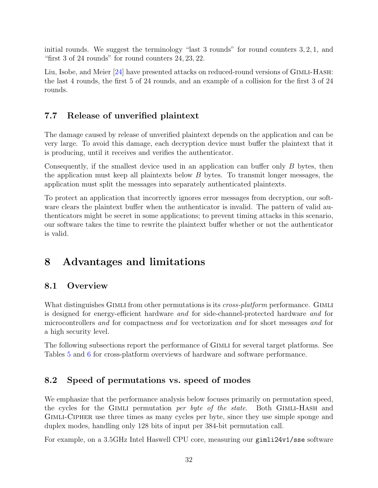initial rounds. We suggest the terminology "last 3 rounds" for round counters 3, 2, 1, and "first 3 of 24 rounds" for round counters 24, 23, 22.

Liu, Isobe, and Meier [\[24\]](#page-42-6) have presented attacks on reduced-round versions of GIMLI-HASH: the last 4 rounds, the first 5 of 24 rounds, and an example of a collision for the first 3 of 24 rounds.

## <span id="page-31-0"></span>7.7 Release of unverified plaintext

The damage caused by release of unverified plaintext depends on the application and can be very large. To avoid this damage, each decryption device must buffer the plaintext that it is producing, until it receives and verifies the authenticator.

Consequently, if the smallest device used in an application can buffer only B bytes, then the application must keep all plaintexts below B bytes. To transmit longer messages, the application must split the messages into separately authenticated plaintexts.

To protect an application that incorrectly ignores error messages from decryption, our software clears the plaintext buffer when the authenticator is invalid. The pattern of valid authenticators might be secret in some applications; to prevent timing attacks in this scenario, our software takes the time to rewrite the plaintext buffer whether or not the authenticator is valid.

# <span id="page-31-1"></span>8 Advantages and limitations

### <span id="page-31-2"></span>8.1 Overview

What distinguishes GIMLI from other permutations is its *cross-platform* performance. GIMLI is designed for energy-efficient hardware and for side-channel-protected hardware and for microcontrollers and for compactness and for vectorization and for short messages and for a high security level.

The following subsections report the performance of Gimli for several target platforms. See Tables [5](#page-35-0) and [6](#page-40-0) for cross-platform overviews of hardware and software performance.

## <span id="page-31-3"></span>8.2 Speed of permutations vs. speed of modes

We emphasize that the performance analysis below focuses primarily on permutation speed, the cycles for the GIMLI permutation *per byte of the state*. Both GIMLI-HASH and Gimli-Cipher use three times as many cycles per byte, since they use simple sponge and duplex modes, handling only 128 bits of input per 384-bit permutation call.

For example, on a 3.5GHz Intel Haswell CPU core, measuring our gimli24v1/sse software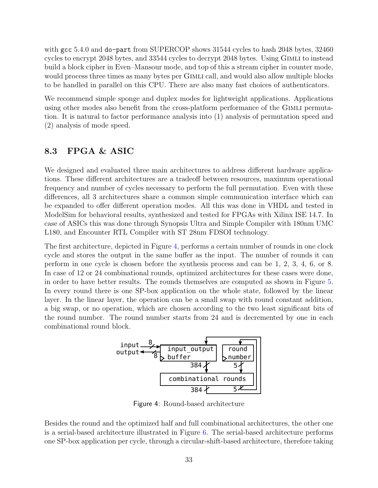with gcc 5.4.0 and do-part from SUPERCOP shows 31544 cycles to hash 2048 bytes, 32460 cycles to encrypt 2048 bytes, and 33544 cycles to decrypt 2048 bytes. Using Gimli to instead build a block cipher in Even–Mansour mode, and top of this a stream cipher in counter mode, would process three times as many bytes per GIMLI call, and would also allow multiple blocks to be handled in parallel on this CPU. There are also many fast choices of authenticators.

We recommend simple sponge and duplex modes for lightweight applications. Applications using other modes also benefit from the cross-platform performance of the Gimli permutation. It is natural to factor performance analysis into (1) analysis of permutation speed and (2) analysis of mode speed.

#### <span id="page-32-0"></span>8.3 FPGA & ASIC

We designed and evaluated three main architectures to address different hardware applications. These different architectures are a tradeoff between resources, maximum operational frequency and number of cycles necessary to perform the full permutation. Even with these differences, all 3 architectures share a common simple communication interface which can be expanded to offer different operation modes. All this was done in VHDL and tested in ModelSim for behavioral results, synthesized and tested for FPGAs with Xilinx ISE 14.7. In case of ASICs this was done through Synopsis Ultra and Simple Compiler with 180nm UMC L180, and Encounter RTL Compiler with ST 28nm FDSOI technology.

The first architecture, depicted in Figure [4,](#page-32-1) performs a certain number of rounds in one clock cycle and stores the output in the same buffer as the input. The number of rounds it can perform in one cycle is chosen before the synthesis process and can be 1, 2, 3, 4, 6, or 8. In case of 12 or 24 combinational rounds, optimized architectures for these cases were done, in order to have better results. The rounds themselves are computed as shown in Figure [5.](#page-33-0) In every round there is one SP-box application on the whole state, followed by the linear layer. In the linear layer, the operation can be a small swap with round constant addition, a big swap, or no operation, which are chosen according to the two least significant bits of the round number. The round number starts from 24 and is decremented by one in each combinational round block.



<span id="page-32-1"></span>Figure 4: Round-based architecture

Besides the round and the optimized half and full combinational architectures, the other one is a serial-based architecture illustrated in Figure [6.](#page-34-2) The serial-based architecture performs one SP-box application per cycle, through a circular-shift-based architecture, therefore taking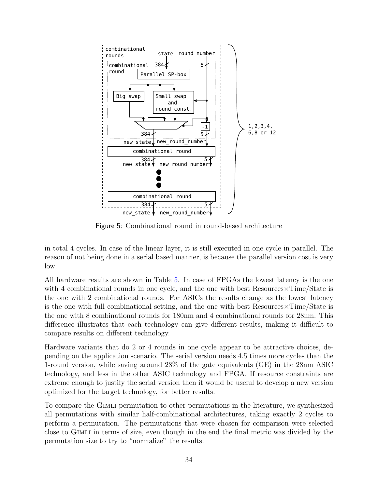

<span id="page-33-0"></span>Figure 5: Combinational round in round-based architecture

in total 4 cycles. In case of the linear layer, it is still executed in one cycle in parallel. The reason of not being done in a serial based manner, is because the parallel version cost is very low.

All hardware results are shown in Table [5.](#page-35-0) In case of FPGAs the lowest latency is the one with 4 combinational rounds in one cycle, and the one with best Resources  $\times$ Time/State is the one with 2 combinational rounds. For ASICs the results change as the lowest latency is the one with full combinational setting, and the one with best Resources×Time/State is the one with 8 combinational rounds for 180nm and 4 combinational rounds for 28nm. This difference illustrates that each technology can give different results, making it difficult to compare results on different technology.

Hardware variants that do 2 or 4 rounds in one cycle appear to be attractive choices, depending on the application scenario. The serial version needs 4.5 times more cycles than the 1-round version, while saving around 28% of the gate equivalents (GE) in the 28nm ASIC technology, and less in the other ASIC technology and FPGA. If resource constraints are extreme enough to justify the serial version then it would be useful to develop a new version optimized for the target technology, for better results.

To compare the Gimli permutation to other permutations in the literature, we synthesized all permutations with similar half-combinational architectures, taking exactly 2 cycles to perform a permutation. The permutations that were chosen for comparison were selected close to Gimli in terms of size, even though in the end the final metric was divided by the permutation size to try to "normalize" the results.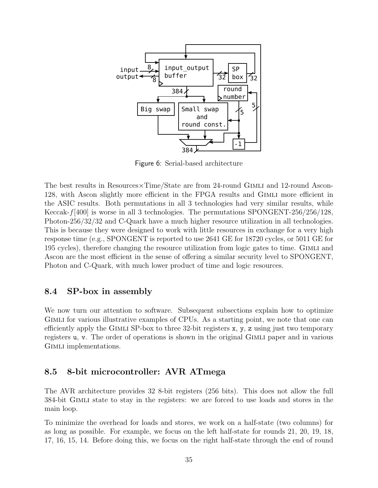

<span id="page-34-2"></span>Figure 6: Serial-based architecture

The best results in Resources $\times$ Time/State are from 24-round GIMLI and 12-round Ascon-128, with Ascon slightly more efficient in the FPGA results and Gimli more efficient in the ASIC results. Both permutations in all 3 technologies had very similar results, while Keccak- $f$ [400] is worse in all 3 technologies. The permutations SPONGENT-256/256/128, Photon-256/32/32 and C-Quark have a much higher resource utilization in all technologies. This is because they were designed to work with little resources in exchange for a very high response time (e.g., SPONGENT is reported to use 2641 GE for 18720 cycles, or 5011 GE for 195 cycles), therefore changing the resource utilization from logic gates to time. Gimli and Ascon are the most efficient in the sense of offering a similar security level to SPONGENT, Photon and C-Quark, with much lower product of time and logic resources.

#### <span id="page-34-0"></span>8.4 SP-box in assembly

We now turn our attention to software. Subsequent subsections explain how to optimize Gimli for various illustrative examples of CPUs. As a starting point, we note that one can efficiently apply the GIMLI SP-box to three 32-bit registers  $x, y, z$  using just two temporary registers u, v. The order of operations is shown in the original GIMLI paper and in various GIMLI implementations.

#### <span id="page-34-1"></span>8.5 8-bit microcontroller: AVR ATmega

The AVR architecture provides 32 8-bit registers (256 bits). This does not allow the full 384-bit Gimli state to stay in the registers: we are forced to use loads and stores in the main loop.

To minimize the overhead for loads and stores, we work on a half-state (two columns) for as long as possible. For example, we focus on the left half-state for rounds 21, 20, 19, 18, 17, 16, 15, 14. Before doing this, we focus on the right half-state through the end of round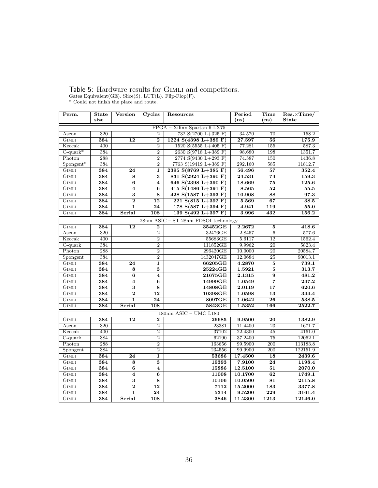## <span id="page-35-0"></span>Table 5: Hardware results for GIMLI and competitors.

Gates Equivalent(GE). Slice(S). LUT(L). Flip-Flop(F). \* Could not finish the place and route.

| Perm.                   | <b>State</b> | Version                 | Cycles                  | Resources                                | Period  | <b>Time</b>      | $Res. \times Time/$ |
|-------------------------|--------------|-------------------------|-------------------------|------------------------------------------|---------|------------------|---------------------|
|                         | size         |                         |                         |                                          | (ns)    | (ns)             | <b>State</b>        |
|                         |              |                         |                         | FPGA - Xilinx Spartan 6 LX75             |         |                  |                     |
| Ascon                   | 320          |                         | $\overline{2}$          | 732 $S(2700 L+325 F)$                    | 34.570  | 70               | 158.2               |
| <b>GIMLI</b>            | 384          | 12                      | $\overline{2}$          | 1224 S(4398 L+389 F)                     | 27.597  | $\overline{56}$  | 175.9               |
| Keccak                  | 400          |                         | $\overline{2}$          | 1520 S(5555 L+405 F)                     | 77.281  | 155              | 587.3               |
| $C$ -quark <sup>*</sup> | 384          |                         | $\overline{2}$          | 2630 S(9718 L+389 F)                     | 98.680  | 198              | 1351.7              |
| Photon                  | 288          |                         | $\overline{2}$          | 2774 $S(9430 L+293 F)$                   | 74.587  | 150              | 1436.8              |
| $S$ pongent*            | 384          |                         | $\overline{2}$          | 7763 S(19419 L+389 F)                    | 292.160 | 585              | 11812.7             |
| <b>GIMLI</b>            | 384          | $\overline{24}$         | $\mathbf{1}$            | 2395 $S(8769 L+385 F)$                   | 56.496  | 57               | 352.4               |
| <b>GIMLI</b>            | 384          | 8                       | 3                       | 831 S(2924 L+390 F)                      | 24.531  | 74               | 159.3               |
| <b>GIMLI</b>            | 384          | 6                       | $\overline{\bf{4}}$     | 646 S(2398 L+390 F)                      | 18.669  | $\overline{75}$  | 125.6               |
| <b>GIMLI</b>            | 384          | $\overline{\bf 4}$      | 6                       | $415 S(1486 L+391 F)$                    | 8.565   | $\overline{52}$  | 55.5                |
| <b>GIMLI</b>            | 384          | $\overline{\mathbf{3}}$ | $\overline{8}$          | 428 $S(1587 L+393 F)$                    | 10.908  | 88               | 97.3                |
| <b>GIMLI</b>            | 384          | $\overline{2}$          | 12                      | $221 S(815 L+392 F)$                     | 5.569   | 67               | 38.5                |
| <b>GIMLI</b>            | 384          | $\overline{1}$          | $\overline{24}$         | 178 $S(587 L+394 F)$                     | 4.941   | $\overline{119}$ | $\overline{55.0}$   |
| <b>GIMLI</b>            | 384          | Serial                  | 108                     | 139 $S(492 L+397 F)$                     | 3.996   | 432              | 156.2               |
|                         |              |                         |                         | $28nm$ ASIC – ST $28nm$ FDSOI technology |         |                  |                     |
| <b>GIMLI</b>            | 384          | 12                      | $\bf{2}$                | 35452GE                                  | 2.2672  | $\bf{5}$         | 418.6               |
| Ascon                   | 320          |                         | $\overline{2}$          | 32476GE                                  | 2.8457  | $\overline{6}$   | 577.6               |
| Keccak                  | 400          |                         | $\overline{2}$          | 55683GE                                  | 5.6117  | 12               | 1562.4              |
| $C$ -quark              | 384          |                         | $\overline{2}$          | 111852GE                                 | 9.9962  | $\overline{20}$  | 5823.4              |
| Photon                  | 288          |                         | $\overline{2}$          | 296420GE                                 | 10.0000 | 20               | 20584.7             |
| Spongent                | 384          |                         | $\overline{2}$          | 1432047GE                                | 12.0684 | 25               | 90013.1             |
| <b>GIMLI</b>            | 384          | 24                      | 1                       | 66205GE                                  | 4.2870  | $\bf{5}$         | 739.1               |
| <b>GIMLI</b>            | 384          | 8                       | 3                       | 25224GE                                  | 1.5921  | $\mathbf{5}$     | 313.7               |
| <b>GIMLI</b>            | 384          | $\overline{6}$          | $\overline{\mathbf{4}}$ | 21675GE                                  | 2.1315  | $\overline{9}$   | 481.2               |
| GIMLI                   | 384          | 4                       | 6                       | 14999GE                                  | 1.0549  | 7                | 247.2               |
| <b>GIMLI</b>            | 384          | 3                       | $\overline{\bf 8}$      | 14808GE                                  | 2.0119  | 17               | 620.6               |
| <b>GIMLI</b>            | 384          | $\overline{2}$          | 12                      | 10398GE                                  | 1.0598  | 13               | 344.4               |
| <b>GIMLI</b>            | 384          | $\overline{1}$          | $\overline{24}$         | 8097GE                                   | 1.0642  | $\overline{26}$  | 538.5               |
| <b>GIMLI</b>            | 384          | Serial                  | 108                     | 5843GE                                   | 1.5352  | 166              | 2522.7              |
|                         |              |                         |                         | $180nm$ ASIC - UMC L180                  |         |                  |                     |
| <b>GIMLI</b>            | 384          | 12                      | $\boldsymbol{2}$        | 26685                                    | 9.9500  | 20               | 1382.9              |
| Ascon                   | 320          |                         | $\overline{2}$          | 23381                                    | 11.4400 | 23               | 1671.7              |
| Keccak                  | 400          |                         | $\overline{2}$          | 37102                                    | 22.4300 | 45               | 4161.0              |
| $C$ -quark              | 384          |                         | $\overline{2}$          | 62190                                    | 37.2400 | 75               | 12062.1             |
| Photon                  | 288          |                         | $\overline{2}$          | 163656                                   | 99.5900 | 200              | 113183.8            |
| Spongent                | 384          |                         | $\overline{2}$          | 234556                                   | 99.9900 | 200              | 122151.9            |
| <b>GIMLI</b>            | 384          | $\overline{24}$         | $\mathbf{1}$            | 53686                                    | 17.4500 | 18               | 2439.6              |
| <b>GIMLI</b>            | 384          | 8                       | 3                       | 19393                                    | 7.9100  | 24               | 1198.4              |
| <b>GIMLI</b>            | 384          | $\overline{6}$          | $\overline{\bf 4}$      | 15886                                    | 12.5100 | 51               | 2070.0              |
| <b>GIMLI</b>            | 384          | $\overline{\mathbf{4}}$ | $\overline{6}$          | 11008                                    | 10.1700 | $\overline{62}$  | 1749.1              |
| <b>GIMLI</b>            | 384          | 3                       | 8                       | 10106                                    | 10.0500 | 81               | 2115.8              |
| <b>GIMLI</b>            | 384          | $\overline{2}$          | 12                      | 7112                                     | 15.2000 | 183              | 3377.8              |
| <b>GIMLI</b>            | 384          | $\overline{1}$          | 24                      | 5314                                     | 9.5200  | $\overline{229}$ | 3161.4              |
| <b>GIMLI</b>            | 384          | Serial                  | 108                     | 3846                                     | 11.2300 | 1213             | 12146.0             |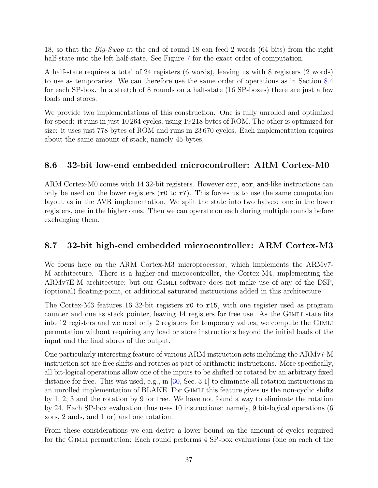18, so that the Big-Swap at the end of round 18 can feed 2 words (64 bits) from the right half-state into the left half-state. See Figure [7](#page-37-0) for the exact order of computation.

A half-state requires a total of 24 registers (6 words), leaving us with 8 registers (2 words) to use as temporaries. We can therefore use the same order of operations as in Section [8.4](#page-34-0) for each SP-box. In a stretch of 8 rounds on a half-state (16 SP-boxes) there are just a few loads and stores.

We provide two implementations of this construction. One is fully unrolled and optimized for speed: it runs in just 10 264 cycles, using 19 218 bytes of ROM. The other is optimized for size: it uses just 778 bytes of ROM and runs in 23 670 cycles. Each implementation requires about the same amount of stack, namely 45 bytes.

## <span id="page-36-0"></span>8.6 32-bit low-end embedded microcontroller: ARM Cortex-M0

ARM Cortex-M0 comes with 14 32-bit registers. However orr, eor, and-like instructions can only be used on the lower registers  $(0 \text{ to } r7)$ . This forces us to use the same computation layout as in the AVR implementation. We split the state into two halves: one in the lower registers, one in the higher ones. Then we can operate on each during multiple rounds before exchanging them.

## <span id="page-36-1"></span>8.7 32-bit high-end embedded microcontroller: ARM Cortex-M3

We focus here on the ARM Cortex-M3 microprocessor, which implements the ARMv7- M architecture. There is a higher-end microcontroller, the Cortex-M4, implementing the ARMv7E-M architecture; but our Gimli software does not make use of any of the DSP, (optional) floating-point, or additional saturated instructions added in this architecture.

The Cortex-M3 features 16 32-bit registers r0 to r15, with one register used as program counter and one as stack pointer, leaving 14 registers for free use. As the Gimli state fits into 12 registers and we need only 2 registers for temporary values, we compute the Gimli permutation without requiring any load or store instructions beyond the initial loads of the input and the final stores of the output.

One particularly interesting feature of various ARM instruction sets including the ARMv7-M instruction set are free shifts and rotates as part of arithmetic instructions. More specifically, all bit-logical operations allow one of the inputs to be shifted or rotated by an arbitrary fixed distance for free. This was used, e.g., in [\[30,](#page-43-3) Sec. 3.1] to eliminate all rotation instructions in an unrolled implementation of BLAKE. For GIMLI this feature gives us the non-cyclic shifts by 1, 2, 3 and the rotation by 9 for free. We have not found a way to eliminate the rotation by 24. Each SP-box evaluation thus uses 10 instructions: namely, 9 bit-logical operations (6 xors, 2 ands, and 1 or) and one rotation.

From these considerations we can derive a lower bound on the amount of cycles required for the Gimli permutation: Each round performs 4 SP-box evaluations (one on each of the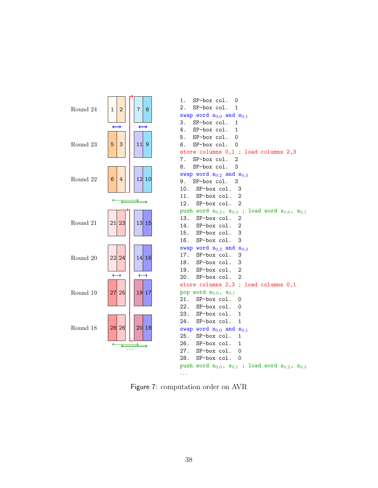

<span id="page-37-0"></span>Figure 7: computation order on AVR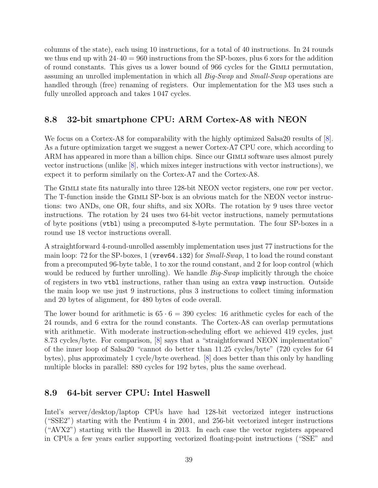columns of the state), each using 10 instructions, for a total of 40 instructions. In 24 rounds we thus end up with  $24.40 = 960$  instructions from the SP-boxes, plus 6 xors for the addition of round constants. This gives us a lower bound of 966 cycles for the Gimli permutation, assuming an unrolled implementation in which all *Big-Swap* and *Small-Swap* operations are handled through (free) renaming of registers. Our implementation for the M3 uses such a fully unrolled approach and takes 1 047 cycles.

## <span id="page-38-0"></span>8.8 32-bit smartphone CPU: ARM Cortex-A8 with NEON

We focus on a Cortex-A8 for comparability with the highly optimized Salsa20 results of [\[8\]](#page-41-7). As a future optimization target we suggest a newer Cortex-A7 CPU core, which according to ARM has appeared in more than a billion chips. Since our GIMLI software uses almost purely vector instructions (unlike  $[8]$ , which mixes integer instructions with vector instructions), we expect it to perform similarly on the Cortex-A7 and the Cortex-A8.

The Gimli state fits naturally into three 128-bit NEON vector registers, one row per vector. The T-function inside the Gimli SP-box is an obvious match for the NEON vector instructions: two ANDs, one OR, four shifts, and six XORs. The rotation by 9 uses three vector instructions. The rotation by 24 uses two 64-bit vector instructions, namely permutations of byte positions (vtbl) using a precomputed 8-byte permutation. The four SP-boxes in a round use 18 vector instructions overall.

A straightforward 4-round-unrolled assembly implementation uses just 77 instructions for the main loop: 72 for the SP-boxes, 1 (vrev64.i32) for  $Small\text{-}Swap$ , 1 to load the round constant from a precomputed 96-byte table, 1 to xor the round constant, and 2 for loop control (which would be reduced by further unrolling). We handle  $Big-Swap$  implicitly through the choice of registers in two vtbl instructions, rather than using an extra vswp instruction. Outside the main loop we use just 9 instructions, plus 3 instructions to collect timing information and 20 bytes of alignment, for 480 bytes of code overall.

The lower bound for arithmetic is  $65 \cdot 6 = 390$  cycles: 16 arithmetic cycles for each of the 24 rounds, and 6 extra for the round constants. The Cortex-A8 can overlap permutations with arithmetic. With moderate instruction-scheduling effort we achieved 419 cycles, just 8.73 cycles/byte. For comparison, [\[8\]](#page-41-7) says that a "straightforward NEON implementation" of the inner loop of Salsa20 "cannot do better than 11.25 cycles/byte" (720 cycles for 64 bytes), plus approximately 1 cycle/byte overhead. [\[8\]](#page-41-7) does better than this only by handling multiple blocks in parallel: 880 cycles for 192 bytes, plus the same overhead.

## <span id="page-38-1"></span>8.9 64-bit server CPU: Intel Haswell

Intel's server/desktop/laptop CPUs have had 128-bit vectorized integer instructions ("SSE2") starting with the Pentium 4 in 2001, and 256-bit vectorized integer instructions ("AVX2") starting with the Haswell in 2013. In each case the vector registers appeared in CPUs a few years earlier supporting vectorized floating-point instructions ("SSE" and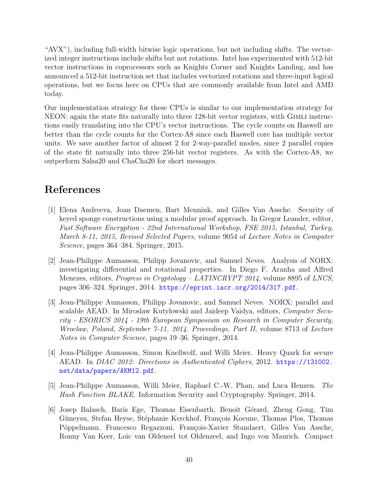"AVX"), including full-width bitwise logic operations, but not including shifts. The vectorized integer instructions include shifts but not rotations. Intel has experimented with 512-bit vector instructions in coprocessors such as Knights Corner and Knights Landing, and has announced a 512-bit instruction set that includes vectorized rotations and three-input logical operations, but we focus here on CPUs that are commonly available from Intel and AMD today.

Our implementation strategy for these CPUs is similar to our implementation strategy for NEON: again the state fits naturally into three 128-bit vector registers, with Gimli instructions easily translating into the CPU's vector instructions. The cycle counts on Haswell are better than the cycle counts for the Cortex-A8 since each Haswell core has multiple vector units. We save another factor of almost 2 for 2-way-parallel modes, since 2 parallel copies of the state fit naturally into three 256-bit vector registers. As with the Cortex-A8, we outperform Salsa20 and ChaCha20 for short messages.

# References

- <span id="page-39-4"></span>[1] Elena Andreeva, Joan Daemen, Bart Mennink, and Gilles Van Assche. Security of keyed sponge constructions using a modular proof approach. In Gregor Leander, editor, Fast Software Encryption - 22nd International Workshop, FSE 2015, Istanbul, Turkey, March 8-11, 2015, Revised Selected Papers, volume 9054 of Lecture Notes in Computer Science, pages 364–384. Springer, 2015.
- <span id="page-39-3"></span>[2] Jean-Philippe Aumasson, Philipp Jovanovic, and Samuel Neves. Analysis of NORX: investigating differential and rotational properties. In Diego F. Aranha and Alfred Menezes, editors, *Progress in Cryptology – LATINCRYPT 2014*, volume 8895 of *LNCS*, pages 306–324. Springer, 2014. <https://eprint.iacr.org/2014/317.pdf>.
- <span id="page-39-0"></span>[3] Jean-Philippe Aumasson, Philipp Jovanovic, and Samuel Neves. NORX: parallel and scalable AEAD. In Miroslaw Kutylowski and Jaideep Vaidya, editors, Computer Security - ESORICS 2014 - 19th European Symposium on Research in Computer Security, Wroclaw, Poland, September 7-11, 2014. Proceedings, Part II, volume 8713 of Lecture Notes in Computer Science, pages 19–36. Springer, 2014.
- <span id="page-39-1"></span>[4] Jean-Philippe Aumasson, Simon Knellwolf, and Willi Meier. Heavy Quark for secure AEAD. In DIAC 2012: Directions in Authenticated Ciphers, 2012. [https://131002.](https://131002.net/data/papers/AKM12.pdf) [net/data/papers/AKM12.pdf](https://131002.net/data/papers/AKM12.pdf).
- <span id="page-39-2"></span>[5] Jean-Philippe Aumasson, Willi Meier, Raphael C.-W. Phan, and Luca Henzen. The Hash Function BLAKE. Information Security and Cryptography. Springer, 2014.
- <span id="page-39-5"></span>[6] Josep Balasch, Baris Ege, Thomas Eisenbarth, Benoit G´erard, Zheng Gong, Tim Güneysu, Stefan Heyse, Stéphanie Kerckhof, François Koeune, Thomas Plos, Thomas Pöppelmann, Francesco Regazzoni, François-Xavier Standaert, Gilles Van Assche, Ronny Van Keer, Loïc van Oldeneel tot Oldenzeel, and Ingo von Maurich. Compact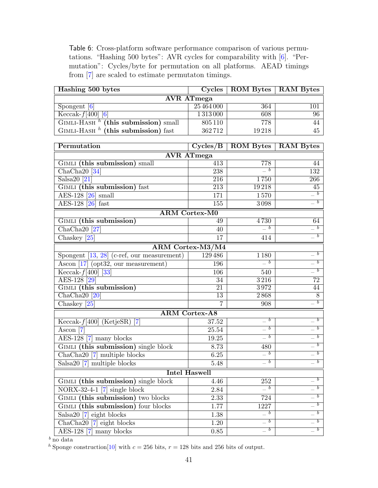<span id="page-40-0"></span>Table 6: Cross-platform software performance comparison of various permutations. "Hashing 500 bytes": AVR cycles for comparability with [\[6\]](#page-39-5). "Permutation": Cycles/byte for permutation on all platforms. AEAD timings from [\[7\]](#page-41-8) are scaled to estimate permutaton timings.

| Hashing 500 bytes                                 |               | Cycles   ROM Bytes   RAM Bytes |     |  |  |  |
|---------------------------------------------------|---------------|--------------------------------|-----|--|--|--|
| <b>AVR</b> ATmega                                 |               |                                |     |  |  |  |
| Spongent [6]                                      | 25 464 000    | 364                            | 101 |  |  |  |
| $Keccak-f[400]$ [6]                               | 1 3 1 3 0 0 0 | 608                            | 96  |  |  |  |
| $GIMLI-HASH$ <sup>h</sup> (this submission) small | 805 110       | 778                            | 44  |  |  |  |
| $GIMLI-HASH$ <sup>h</sup> (this submission) fast  | 362712        | 19218                          | 45  |  |  |  |

| Permutation                                             | $\overline{\text{Cycles}/\text{B}}$ | <b>ROM Bytes   RAM Bytes</b>                       |                                                              |  |  |  |  |
|---------------------------------------------------------|-------------------------------------|----------------------------------------------------|--------------------------------------------------------------|--|--|--|--|
| <b>AVR</b> ATmega                                       |                                     |                                                    |                                                              |  |  |  |  |
| <b>GIMLI</b> (this submission) small                    | $\overline{413}$                    | 778                                                | 44                                                           |  |  |  |  |
| ChaCha <sub>20</sub> [34]                               | 238                                 | $\boxed{b}$                                        | 132                                                          |  |  |  |  |
| $Salsa20$ [21]                                          | $\overline{216}$                    | 1750                                               | <b>266</b>                                                   |  |  |  |  |
| GIMLI (this submission) fast                            | 213                                 | 19218                                              | $\overline{45}$                                              |  |  |  |  |
| $\overline{\text{AES-128}}$ [26] small                  | 171                                 | 1570                                               | $\boxed{b}$                                                  |  |  |  |  |
| AES-128 [26] fast                                       | 155                                 | 3098                                               | $\boxed{b}$                                                  |  |  |  |  |
|                                                         | <b>ARM Cortex-M0</b>                |                                                    |                                                              |  |  |  |  |
| GIMLI (this submission)                                 | 49                                  | 4730                                               | 64                                                           |  |  |  |  |
| $ChaCha20$ [27]                                         | 40                                  | $\boxed{b}$                                        | $\overline{\phantom{a}b}$                                    |  |  |  |  |
| Chaskey <sup>[25]</sup>                                 | 17                                  | 414                                                | $\overline{\phantom{a}}^{\phantom{a}}\!\!\!\!\!\!b$          |  |  |  |  |
|                                                         | ARM Cortex-M3/M4                    |                                                    |                                                              |  |  |  |  |
| Spongent $[13, 28]$ (c-ref, our measurement)            | 129486                              | 1 1 8 0                                            | $\overline{b}$                                               |  |  |  |  |
| $\overline{\text{Ascon} [17]}$ (opt32, our measurement) | 196                                 | $=$ $b$                                            | $\boxed{b}$                                                  |  |  |  |  |
| Keccak- $f[400]$ [33]                                   | 106                                 | 540                                                | $\sqrt{b}$                                                   |  |  |  |  |
| AES-128 <sup>[29]</sup>                                 | $\overline{34}$                     | 3216                                               | $\overline{72}$                                              |  |  |  |  |
| <b>GIMLI</b> (this submission)                          | $\overline{21}$                     | 3972                                               | 44                                                           |  |  |  |  |
| $ChaCha20$ <sup>[20]</sup>                              | $\overline{13}$                     | 2868                                               | $\overline{8}$                                               |  |  |  |  |
| Chaskey $[25]$                                          | $\overline{7}$                      | 908                                                | $\boldsymbol{b}$                                             |  |  |  |  |
|                                                         | <b>ARM Cortex-A8</b>                |                                                    |                                                              |  |  |  |  |
| $\text{Keccak-}f[400]$ (KetjeSR)<br>$\lceil 7 \rceil$   | 37.52                               | $\equiv b$                                         | $\overline{\phantom{a}}$                                     |  |  |  |  |
| $\overline{\text{Ascon} [7]}$                           | 25.54                               | $\boxed{b}$                                        | $\overline{b}$                                               |  |  |  |  |
| AES-128 [7] many blocks                                 | 19.25                               | $\boxed{b}$                                        | $\overline{b}$                                               |  |  |  |  |
| GIMLI (this submission) single block                    | 8.73                                | 480                                                | $\overline{\phantom{a}}^b$                                   |  |  |  |  |
| ChaCha <sub>20</sub> [7] multiple blocks                | 6.25                                | $\boxed{b}$                                        | $\overline{b}$                                               |  |  |  |  |
| Salsa20 <sup>[7]</sup> multiple blocks                  | 5.48                                | $\boxed{b}$                                        | $\overline{\phantom{a}}^{\phantom{a}}\, b$                   |  |  |  |  |
| <b>Intel Haswell</b>                                    |                                     |                                                    |                                                              |  |  |  |  |
| GIMLI (this submission) single block                    | 4.46                                | 252                                                | $-\overline{b}$                                              |  |  |  |  |
| $NORX-32-4-1$ [7] single block                          | 2.84                                | $=$ $b$                                            | $\boldsymbol{b}$<br>$\equiv$                                 |  |  |  |  |
| GIMLI (this submission) two blocks                      | 2.33                                | 724                                                | $=$ $b$                                                      |  |  |  |  |
| GIMLI (this submission) four blocks                     | 1.77                                | 1227                                               | $\boldsymbol{b}$                                             |  |  |  |  |
| Salsa $20$ $\boxed{7}$ eight blocks                     | 1.38                                | $\boxed{b}$                                        | $\overline{\phantom{a}b}$                                    |  |  |  |  |
| $\overline{\text{ChaCha20}}$ [7] eight blocks           | 1.20                                | $\overline{\phantom{a}}^{\phantom{a}\overline{b}}$ | $\overline{\phantom{a}}^{\phantom{a}\phantom{b}\phantom{b}}$ |  |  |  |  |
| AES-128 [7] many blocks                                 | 0.85                                | $\boxed{b}$                                        | $\overline{\phantom{a}}^{\phantom{a}\overline{b}}$           |  |  |  |  |

 $\frac{b}{\text{no data}}$ 

 $^h$  Sponge construction[\[10\]](#page-41-2) with  $c=256$  bits,  $r=128$  bits and 256 bits of output.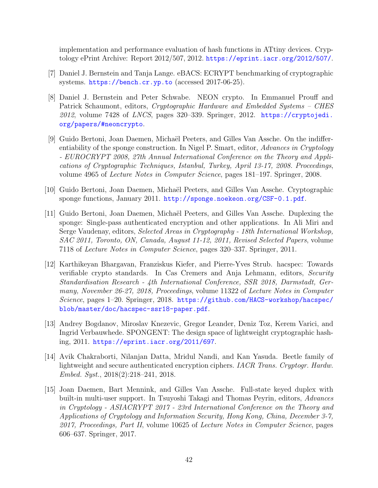implementation and performance evaluation of hash functions in ATtiny devices. Cryptology ePrint Archive: Report 2012/507, 2012. <https://eprint.iacr.org/2012/507/>.

- <span id="page-41-8"></span>[7] Daniel J. Bernstein and Tanja Lange. eBACS: ECRYPT benchmarking of cryptographic systems. <https://bench.cr.yp.to> (accessed 2017-06-25).
- <span id="page-41-7"></span>[8] Daniel J. Bernstein and Peter Schwabe. NEON crypto. In Emmanuel Prouff and Patrick Schaumont, editors, *Cryptographic Hardware and Embedded Systems – CHES*  $2012$ , volume 7428 of *LNCS*, pages 320–339. Springer, 2012. [https://cryptojedi.](https://cryptojedi.org/papers/#neoncrypto) [org/papers/#neoncrypto](https://cryptojedi.org/papers/#neoncrypto).
- <span id="page-41-3"></span>[9] Guido Bertoni, Joan Daemen, Michaël Peeters, and Gilles Van Assche. On the indifferentiability of the sponge construction. In Nigel P. Smart, editor, Advances in Cryptology - EUROCRYPT 2008, 27th Annual International Conference on the Theory and Applications of Cryptographic Techniques, Istanbul, Turkey, April 13-17, 2008. Proceedings, volume 4965 of Lecture Notes in Computer Science, pages 181–197. Springer, 2008.
- <span id="page-41-2"></span>[10] Guido Bertoni, Joan Daemen, Micha¨el Peeters, and Gilles Van Assche. Cryptographic sponge functions, January 2011. <http://sponge.noekeon.org/CSF-0.1.pdf>.
- <span id="page-41-4"></span>[11] Guido Bertoni, Joan Daemen, Michaël Peeters, and Gilles Van Assche. Duplexing the sponge: Single-pass authenticated encryption and other applications. In Ali Miri and Serge Vaudenay, editors, Selected Areas in Cryptography - 18th International Workshop, SAC 2011, Toronto, ON, Canada, August 11-12, 2011, Revised Selected Papers, volume 7118 of Lecture Notes in Computer Science, pages 320–337. Springer, 2011.
- <span id="page-41-0"></span>[12] Karthikeyan Bhargavan, Franziskus Kiefer, and Pierre-Yves Strub. hacspec: Towards verifiable crypto standards. In Cas Cremers and Anja Lehmann, editors, Security Standardisation Research - 4th International Conference, SSR 2018, Darmstadt, Germany, November 26-27, 2018, Proceedings, volume 11322 of Lecture Notes in Computer Science, pages 1–20. Springer, 2018. [https://github.com/HACS-workshop/hacspec/](https://github.com/HACS-workshop/hacspec/blob/master/doc/hacspec-ssr18-paper.pdf) [blob/master/doc/hacspec-ssr18-paper.pdf](https://github.com/HACS-workshop/hacspec/blob/master/doc/hacspec-ssr18-paper.pdf).
- <span id="page-41-1"></span>[13] Andrey Bogdanov, Miroslav Knezevic, Gregor Leander, Deniz Toz, Kerem Varici, and Ingrid Verbauwhede. SPONGENT: The design space of lightweight cryptographic hashing, 2011. <https://eprint.iacr.org/2011/697>.
- <span id="page-41-5"></span>[14] Avik Chakraborti, Nilanjan Datta, Mridul Nandi, and Kan Yasuda. Beetle family of lightweight and secure authenticated encryption ciphers. IACR Trans. Cryptogr. Hardw. Embed. Syst., 2018(2):218–241, 2018.
- <span id="page-41-6"></span>[15] Joan Daemen, Bart Mennink, and Gilles Van Assche. Full-state keyed duplex with built-in multi-user support. In Tsuyoshi Takagi and Thomas Peyrin, editors, Advances in Cryptology - ASIACRYPT 2017 - 23rd International Conference on the Theory and Applications of Cryptology and Information Security, Hong Kong, China, December 3-7, 2017, Proceedings, Part II, volume 10625 of Lecture Notes in Computer Science, pages 606–637. Springer, 2017.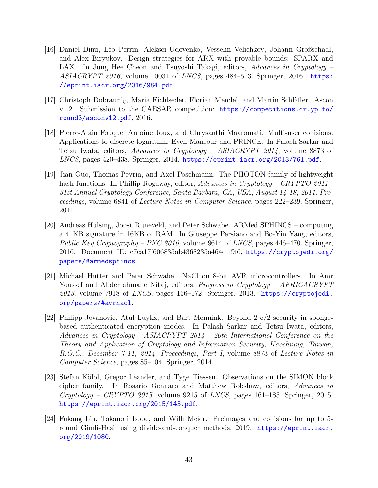- <span id="page-42-3"></span>[16] Daniel Dinu, Léo Perrin, Aleksei Udovenko, Vesselin Velichkov, Johann Großschädl, and Alex Biryukov. Design strategies for ARX with provable bounds: SPARX and LAX. In Jung Hee Cheon and Tsuyoshi Takagi, editors, Advances in Cryptology –  $ASIACRYPT$  2016, volume 10031 of LNCS, pages 484–513. Springer, 2016. [https:](https://eprint.iacr.org/2016/984.pdf) [//eprint.iacr.org/2016/984.pdf](https://eprint.iacr.org/2016/984.pdf).
- <span id="page-42-0"></span>[17] Christoph Dobraunig, Maria Eichlseder, Florian Mendel, and Martin Schläffer. Ascon v1.2. Submission to the CAESAR competition: [https://competitions.cr.yp.to/](https://competitions.cr.yp.to/round3/asconv12.pdf) [round3/asconv12.pdf](https://competitions.cr.yp.to/round3/asconv12.pdf), 2016.
- <span id="page-42-1"></span>[18] Pierre-Alain Fouque, Antoine Joux, and Chrysanthi Mavromati. Multi-user collisions: Applications to discrete logarithm, Even-Mansour and PRINCE. In Palash Sarkar and Tetsu Iwata, editors, Advances in Cryptology – ASIACRYPT 2014, volume 8873 of LNCS, pages 420-438. Springer, 2014. <https://eprint.iacr.org/2013/761.pdf>.
- <span id="page-42-2"></span>[19] Jian Guo, Thomas Peyrin, and Axel Poschmann. The PHOTON family of lightweight hash functions. In Phillip Rogaway, editor, Advances in Cryptology - CRYPTO 2011 -31st Annual Cryptology Conference, Santa Barbara, CA, USA, August 14-18, 2011. Proceedings, volume 6841 of Lecture Notes in Computer Science, pages 222–239. Springer, 2011.
- <span id="page-42-8"></span>[20] Andreas H¨ulsing, Joost Rijneveld, and Peter Schwabe. ARMed SPHINCS – computing a 41KB signature in 16KB of RAM. In Giuseppe Persiano and Bo-Yin Yang, editors, Public Key Cryptography – PKC 2016, volume 9614 of LNCS, pages 446–470. Springer, 2016. Document ID: c7ea17f606835ab4368235a464e1f9f6, [https://cryptojedi.org/](https://cryptojedi.org/papers/#armedsphincs) [papers/#armedsphincs](https://cryptojedi.org/papers/#armedsphincs).
- <span id="page-42-7"></span>[21] Michael Hutter and Peter Schwabe. NaCl on 8-bit AVR microcontrollers. In Amr Youssef and Abderrahmane Nitaj, editors, *Progress in Cryptology – AFRICACRYPT*  $2013$ , volume 7918 of *LNCS*, pages 156–172. Springer, 2013. [https://cryptojedi.](https://cryptojedi.org/papers/#avrnacl) [org/papers/#avrnacl](https://cryptojedi.org/papers/#avrnacl).
- <span id="page-42-5"></span>[22] Philipp Jovanovic, Atul Luykx, and Bart Mennink. Beyond 2 c/2 security in spongebased authenticated encryption modes. In Palash Sarkar and Tetsu Iwata, editors, Advances in Cryptology - ASIACRYPT 2014 - 20th International Conference on the Theory and Application of Cryptology and Information Security, Kaoshiung, Taiwan, R.O.C., December 7-11, 2014. Proceedings, Part I, volume 8873 of Lecture Notes in Computer Science, pages 85–104. Springer, 2014.
- <span id="page-42-4"></span>[23] Stefan Kölbl, Gregor Leander, and Tyge Tiessen. Observations on the SIMON block cipher family. In Rosario Gennaro and Matthew Robshaw, editors, Advances in  $Cryptology - CRYPTO 2015$ , volume 9215 of  $LNCS$ , pages 161–185. Springer, 2015. <https://eprint.iacr.org/2015/145.pdf>.
- <span id="page-42-6"></span>[24] Fukang Liu, Takanori Isobe, and Willi Meier. Preimages and collisions for up to 5 round Gimli-Hash using divide-and-conquer methods, 2019. [https://eprint.iacr.](https://eprint.iacr.org/2019/1080) [org/2019/1080](https://eprint.iacr.org/2019/1080).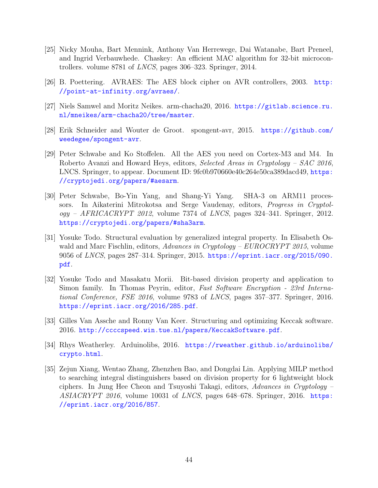- <span id="page-43-7"></span>[25] Nicky Mouha, Bart Mennink, Anthony Van Herrewege, Dai Watanabe, Bart Preneel, and Ingrid Verbauwhede. Chaskey: An efficient MAC algorithm for 32-bit microcontrollers. volume 8781 of LNCS, pages 306–323. Springer, 2014.
- <span id="page-43-5"></span>[26] B. Poettering. AVRAES: The AES block cipher on AVR controllers, 2003. [http:](http://point-at-infinity.org/avraes/) [//point-at-infinity.org/avraes/](http://point-at-infinity.org/avraes/).
- <span id="page-43-6"></span>[27] Niels Samwel and Moritz Neikes. arm-chacha20, 2016. [https://gitlab.science.ru.](https://gitlab.science.ru.nl/mneikes/arm-chacha20/tree/master) [nl/mneikes/arm-chacha20/tree/master](https://gitlab.science.ru.nl/mneikes/arm-chacha20/tree/master).
- <span id="page-43-8"></span>[28] Erik Schneider and Wouter de Groot. spongent-avr, 2015. [https://github.com/](https://github.com/weedegee/spongent-avr) [weedegee/spongent-avr](https://github.com/weedegee/spongent-avr).
- <span id="page-43-10"></span>[29] Peter Schwabe and Ko Stoffelen. All the AES you need on Cortex-M3 and M4. In Roberto Avanzi and Howard Heys, editors, Selected Areas in Cryptology – SAC 2016, LNCS. Springer, to appear. Document ID: 9fc0b970660e40c264e50ca389dacd49, [https:](https://cryptojedi.org/papers/#aesarm) [//cryptojedi.org/papers/#aesarm](https://cryptojedi.org/papers/#aesarm).
- <span id="page-43-3"></span>[30] Peter Schwabe, Bo-Yin Yang, and Shang-Yi Yang. SHA-3 on ARM11 processors. In Aikaterini Mitrokotsa and Serge Vaudenay, editors, Progress in Cryptol $oqy - AFRICACRYPT 2012$ , volume 7374 of *LNCS*, pages 324–341. Springer, 2012. <https://cryptojedi.org/papers/#sha3arm>.
- <span id="page-43-0"></span>[31] Yosuke Todo. Structural evaluation by generalized integral property. In Elisabeth Oswald and Marc Fischlin, editors, Advances in Cryptology –  $EUROCRYPT 2015$ , volume 9056 of LNCS, pages 287–314. Springer, 2015. [https://eprint.iacr.org/2015/090.](https://eprint.iacr.org/2015/090.pdf) [pdf](https://eprint.iacr.org/2015/090.pdf).
- <span id="page-43-1"></span>[32] Yosuke Todo and Masakatu Morii. Bit-based division property and application to Simon family. In Thomas Peyrin, editor, Fast Software Encryption - 23rd International Conference, FSE 2016, volume 9783 of LNCS, pages 357–377. Springer, 2016. <https://eprint.iacr.org/2016/285.pdf>.
- <span id="page-43-9"></span>[33] Gilles Van Assche and Ronny Van Keer. Structuring and optimizing Keccak software. 2016. <http://ccccspeed.win.tue.nl/papers/KeccakSoftware.pdf>.
- <span id="page-43-4"></span>[34] Rhys Weatherley. Arduinolibs, 2016. [https://rweather.github.io/arduinolibs/](https://rweather.github.io/arduinolibs/crypto.html) [crypto.html](https://rweather.github.io/arduinolibs/crypto.html).
- <span id="page-43-2"></span>[35] Zejun Xiang, Wentao Zhang, Zhenzhen Bao, and Dongdai Lin. Applying MILP method to searching integral distinguishers based on division property for 6 lightweight block ciphers. In Jung Hee Cheon and Tsuyoshi Takagi, editors, Advances in Cryptology – ASIACRYPT 2016, volume 10031 of LNCS, pages 648–678. Springer, 2016. [https:](https://eprint.iacr.org/2016/857) [//eprint.iacr.org/2016/857](https://eprint.iacr.org/2016/857).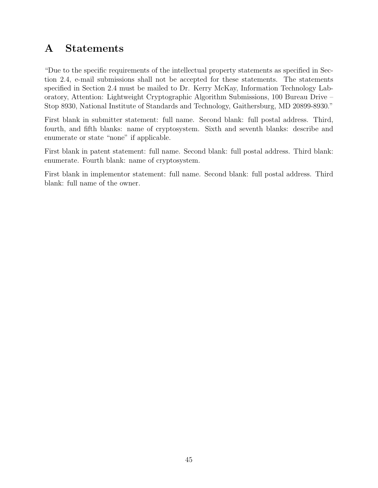# <span id="page-44-0"></span>A Statements

"Due to the specific requirements of the intellectual property statements as specified in Section 2.4, e-mail submissions shall not be accepted for these statements. The statements specified in Section 2.4 must be mailed to Dr. Kerry McKay, Information Technology Laboratory, Attention: Lightweight Cryptographic Algorithm Submissions, 100 Bureau Drive – Stop 8930, National Institute of Standards and Technology, Gaithersburg, MD 20899-8930."

First blank in submitter statement: full name. Second blank: full postal address. Third, fourth, and fifth blanks: name of cryptosystem. Sixth and seventh blanks: describe and enumerate or state "none" if applicable.

First blank in patent statement: full name. Second blank: full postal address. Third blank: enumerate. Fourth blank: name of cryptosystem.

First blank in implementor statement: full name. Second blank: full postal address. Third blank: full name of the owner.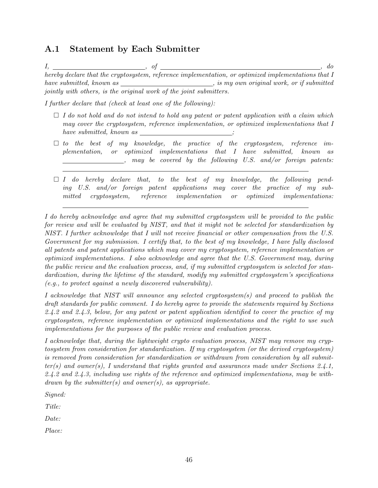### <span id="page-45-0"></span>A.1 Statement by Each Submitter

|                          |                                                                    | $d\sigma$                                                                                             |
|--------------------------|--------------------------------------------------------------------|-------------------------------------------------------------------------------------------------------|
|                          |                                                                    | hereby declare that the cryptosystem, reference implementation, or optimized implementations that $I$ |
| have submitted, known as |                                                                    | <i>is my own original work, or if submitted,</i>                                                      |
|                          | jointly with others, is the original work of the joint submitters. |                                                                                                       |

I further declare that (check at least one of the following):

- $\Box$  I do not hold and do not intend to hold any patent or patent application with a claim which may cover the cryptosystem, reference implementation, or optimized implementations that I  $have \; submitted, \; known \; as \; \_$
- $\Box$  to the best of my knowledge, the practice of the cryptosystem, reference implementation, or optimized implementations that I have submitted, known as , may be covered by the following U.S. and/or foreign patents:
- $\Box$  I do hereby declare that, to the best of my knowledge, the following pending U.S. and/or foreign patent applications may cover the practice of my submitted cryptosystem, reference implementation or optimized implementations:

I do hereby acknowledge and agree that my submitted cryptosystem will be provided to the public for review and will be evaluated by NIST, and that it might not be selected for standardization by NIST. I further acknowledge that I will not receive financial or other compensation from the U.S. Government for my submission. I certify that, to the best of my knowledge, I have fully disclosed all patents and patent applications which may cover my cryptosystem, reference implementation or optimized implementations. I also acknowledge and agree that the U.S. Government may, during the public review and the evaluation process, and, if my submitted cryptosystem is selected for standardization, during the lifetime of the standard, modify my submitted cryptosystem's specifications (e.g., to protect against a newly discovered vulnerability).

I acknowledge that NIST will announce any selected cryptosystem(s) and proceed to publish the draft standards for public comment. I do hereby agree to provide the statements required by Sections 2.4.2 and 2.4.3, below, for any patent or patent application identified to cover the practice of my cryptosystem, reference implementation or optimized implementations and the right to use such implementations for the purposes of the public review and evaluation process.

I acknowledge that, during the lightweight crypto evaluation process, NIST may remove my cryptosystem from consideration for standardization. If my cryptosystem (or the derived cryptosystem) is removed from consideration for standardization or withdrawn from consideration by all submit $ter(s)$  and owner(s), I understand that rights granted and assurances made under Sections 2.4.1, 2.4.2 and 2.4.3, including use rights of the reference and optimized implementations, may be withdrawn by the submitter(s) and owner(s), as appropriate.

Signed:

Title:

Date:

Place: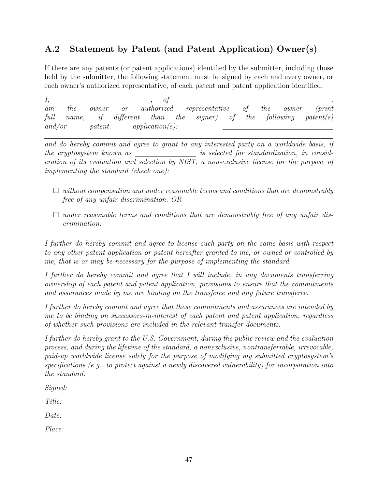## <span id="page-46-0"></span>A.2 Statement by Patent (and Patent Application) Owner(s)

If there are any patents (or patent applications) identified by the submitter, including those held by the submitter, the following statement must be signed by each and every owner, or each owner's authorized representative, of each patent and patent application identified.

| am     | the | $\it{owner}$ | $\overline{or}$ |                    | $\it authorized$ representative        | of | the | $\it{owner}$ | $(\text{print})$        |
|--------|-----|--------------|-----------------|--------------------|----------------------------------------|----|-----|--------------|-------------------------|
| full   |     |              |                 |                    | name, if different than the signer) of |    |     |              | the following patent(s) |
| and/or |     | pattern      |                 | $application(s)$ : |                                        |    |     |              |                         |

and do hereby commit and agree to grant to any interested party on a worldwide basis, if the cryptosystem known as is selected for standardization, in consideration of its evaluation and selection by NIST, a non-exclusive license for the purpose of implementing the standard (check one):

- $\Box$  without compensation and under reasonable terms and conditions that are demonstrably free of any unfair discrimination, OR
- $\Box$  under reasonable terms and conditions that are demonstrably free of any unfair discrimination.

I further do hereby commit and agree to license such party on the same basis with respect to any other patent application or patent hereafter granted to me, or owned or controlled by me, that is or may be necessary for the purpose of implementing the standard.

I further do hereby commit and agree that I will include, in any documents transferring ownership of each patent and patent application, provisions to ensure that the commitments and assurances made by me are binding on the transferee and any future transferee.

I further do hereby commit and agree that these commitments and assurances are intended by me to be binding on successors-in-interest of each patent and patent application, regardless of whether such provisions are included in the relevant transfer documents.

I further do hereby grant to the U.S. Government, during the public review and the evaluation process, and during the lifetime of the standard, a nonexclusive, nontransferrable, irrevocable, paid-up worldwide license solely for the purpose of modifying my submitted cryptosystem's specifications (e.g., to protect against a newly discovered vulnerability) for incorporation into the standard.

Signed:

Title:

Date:

Place: